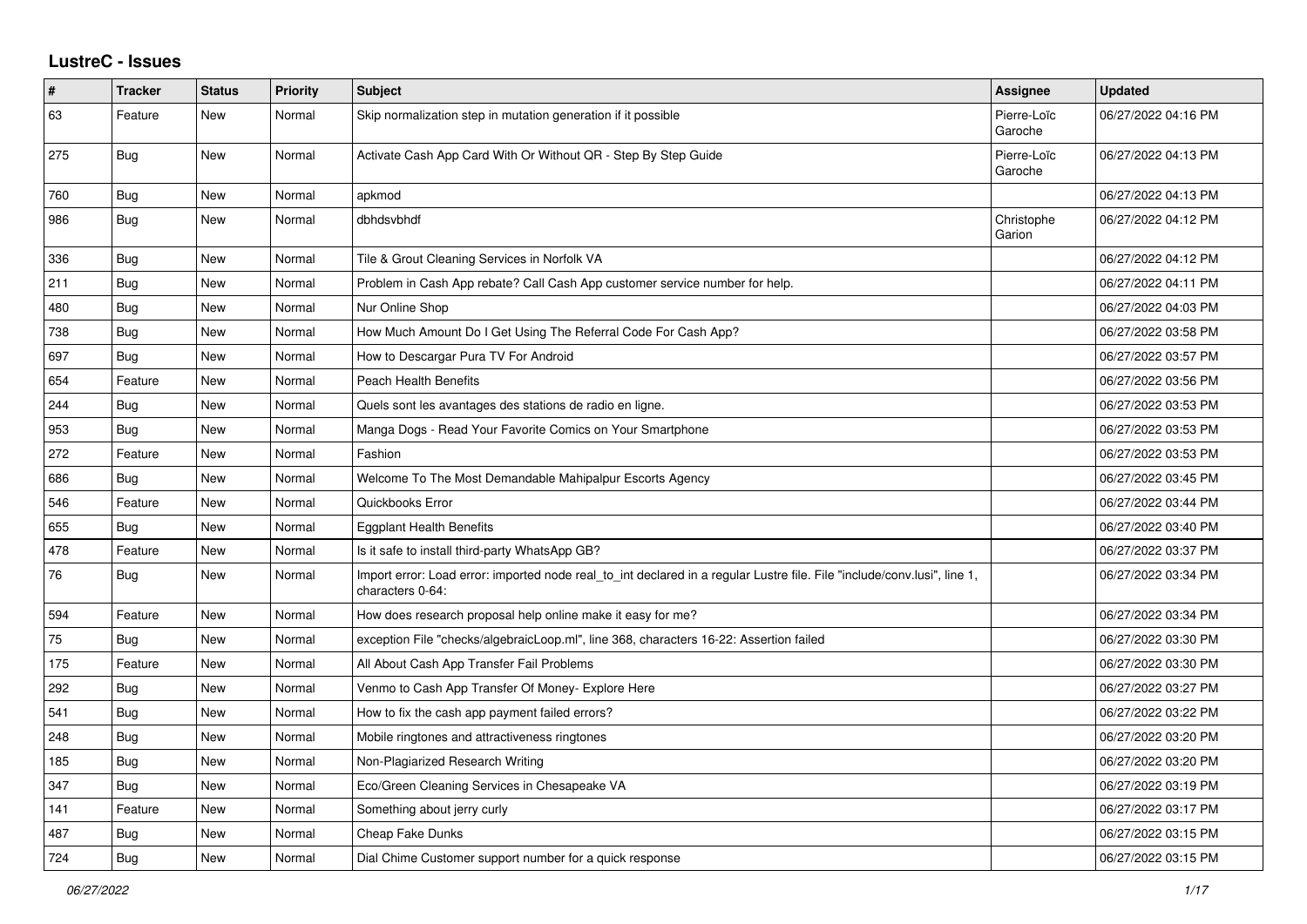## **LustreC - Issues**

| $\sharp$ | <b>Tracker</b> | <b>Status</b> | <b>Priority</b> | <b>Subject</b>                                                                                                                               | <b>Assignee</b>        | <b>Updated</b>      |
|----------|----------------|---------------|-----------------|----------------------------------------------------------------------------------------------------------------------------------------------|------------------------|---------------------|
| 63       | Feature        | <b>New</b>    | Normal          | Skip normalization step in mutation generation if it possible                                                                                | Pierre-Loïc<br>Garoche | 06/27/2022 04:16 PM |
| 275      | Bug            | <b>New</b>    | Normal          | Activate Cash App Card With Or Without QR - Step By Step Guide                                                                               | Pierre-Loïc<br>Garoche | 06/27/2022 04:13 PM |
| 760      | Bug            | <b>New</b>    | Normal          | apkmod                                                                                                                                       |                        | 06/27/2022 04:13 PM |
| 986      | Bug            | New           | Normal          | dbhdsvbhdf                                                                                                                                   | Christophe<br>Garion   | 06/27/2022 04:12 PM |
| 336      | Bug            | <b>New</b>    | Normal          | Tile & Grout Cleaning Services in Norfolk VA                                                                                                 |                        | 06/27/2022 04:12 PM |
| 211      | Bug            | New           | Normal          | Problem in Cash App rebate? Call Cash App customer service number for help.                                                                  |                        | 06/27/2022 04:11 PM |
| 480      | Bug            | <b>New</b>    | Normal          | Nur Online Shop                                                                                                                              |                        | 06/27/2022 04:03 PM |
| 738      | <b>Bug</b>     | <b>New</b>    | Normal          | How Much Amount Do I Get Using The Referral Code For Cash App?                                                                               |                        | 06/27/2022 03:58 PM |
| 697      | <b>Bug</b>     | New           | Normal          | How to Descargar Pura TV For Android                                                                                                         |                        | 06/27/2022 03:57 PM |
| 654      | Feature        | New           | Normal          | <b>Peach Health Benefits</b>                                                                                                                 |                        | 06/27/2022 03:56 PM |
| 244      | Bug            | New           | Normal          | Quels sont les avantages des stations de radio en ligne.                                                                                     |                        | 06/27/2022 03:53 PM |
| 953      | <b>Bug</b>     | <b>New</b>    | Normal          | Manga Dogs - Read Your Favorite Comics on Your Smartphone                                                                                    |                        | 06/27/2022 03:53 PM |
| 272      | Feature        | <b>New</b>    | Normal          | Fashion                                                                                                                                      |                        | 06/27/2022 03:53 PM |
| 686      | Bug            | <b>New</b>    | Normal          | Welcome To The Most Demandable Mahipalpur Escorts Agency                                                                                     |                        | 06/27/2022 03:45 PM |
| 546      | Feature        | <b>New</b>    | Normal          | Quickbooks Error                                                                                                                             |                        | 06/27/2022 03:44 PM |
| 655      | Bug            | New           | Normal          | <b>Eggplant Health Benefits</b>                                                                                                              |                        | 06/27/2022 03:40 PM |
| 478      | Feature        | <b>New</b>    | Normal          | Is it safe to install third-party WhatsApp GB?                                                                                               |                        | 06/27/2022 03:37 PM |
| 76       | Bug            | New           | Normal          | Import error: Load error: imported node real to int declared in a regular Lustre file. File "include/conv.lusi", line 1,<br>characters 0-64: |                        | 06/27/2022 03:34 PM |
| 594      | Feature        | <b>New</b>    | Normal          | How does research proposal help online make it easy for me?                                                                                  |                        | 06/27/2022 03:34 PM |
| 75       | Bug            | <b>New</b>    | Normal          | exception File "checks/algebraicLoop.ml", line 368, characters 16-22: Assertion failed                                                       |                        | 06/27/2022 03:30 PM |
| 175      | Feature        | <b>New</b>    | Normal          | All About Cash App Transfer Fail Problems                                                                                                    |                        | 06/27/2022 03:30 PM |
| 292      | Bug            | <b>New</b>    | Normal          | Venmo to Cash App Transfer Of Money- Explore Here                                                                                            |                        | 06/27/2022 03:27 PM |
| 541      | Bug            | <b>New</b>    | Normal          | How to fix the cash app payment failed errors?                                                                                               |                        | 06/27/2022 03:22 PM |
| 248      | Bug            | New           | Normal          | Mobile ringtones and attractiveness ringtones                                                                                                |                        | 06/27/2022 03:20 PM |
| 185      | Bug            | New           | Normal          | Non-Plagiarized Research Writing                                                                                                             |                        | 06/27/2022 03:20 PM |
| 347      | Bug            | <b>New</b>    | Normal          | Eco/Green Cleaning Services in Chesapeake VA                                                                                                 |                        | 06/27/2022 03:19 PM |
| 141      | Feature        | <b>New</b>    | Normal          | Something about jerry curly                                                                                                                  |                        | 06/27/2022 03:17 PM |
| 487      | Bug            | New           | Normal          | Cheap Fake Dunks                                                                                                                             |                        | 06/27/2022 03:15 PM |
| 724      | Bug            | New           | Normal          | Dial Chime Customer support number for a quick response                                                                                      |                        | 06/27/2022 03:15 PM |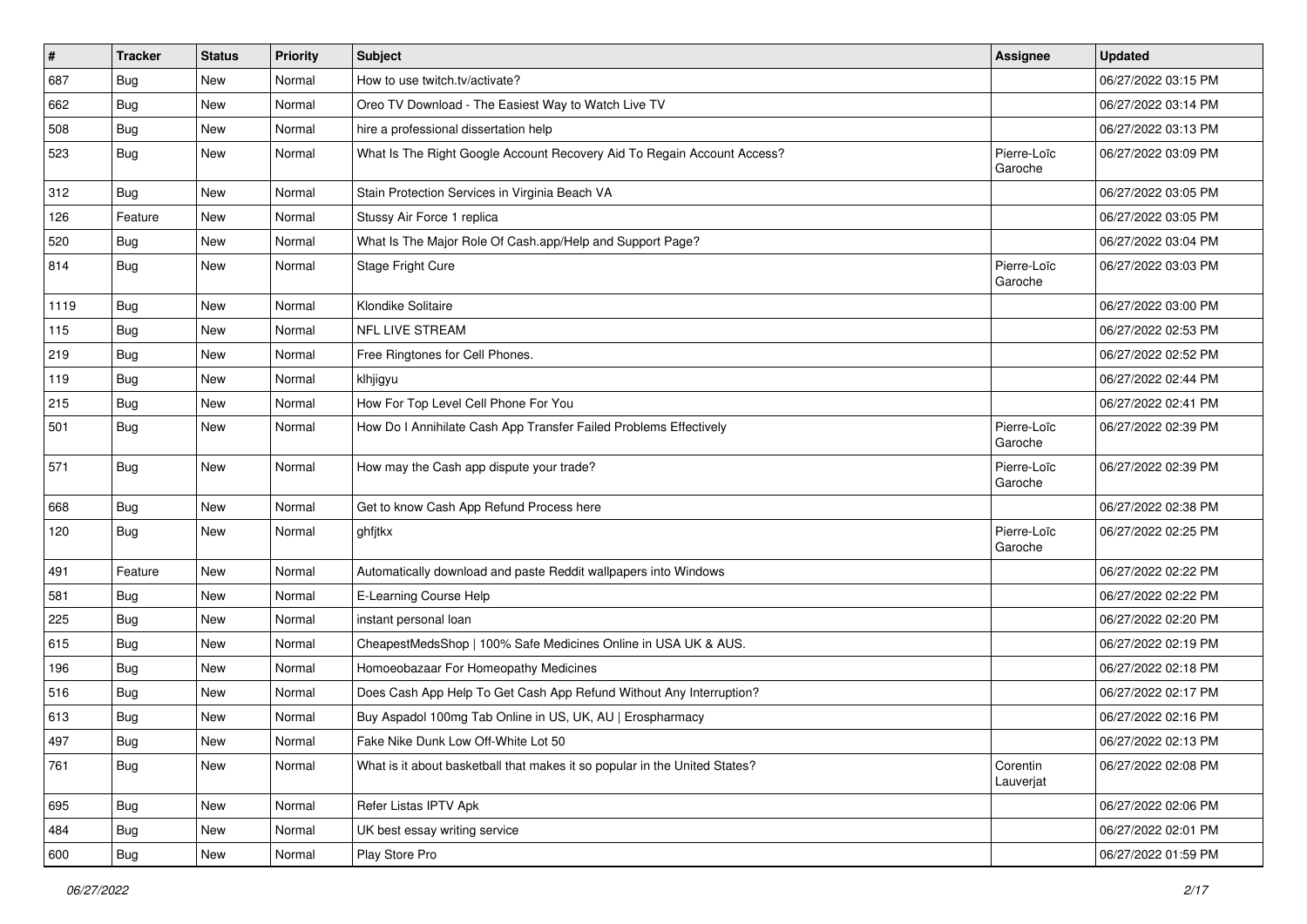| $\vert$ # | <b>Tracker</b> | <b>Status</b> | <b>Priority</b> | Subject                                                                    | <b>Assignee</b>        | <b>Updated</b>      |
|-----------|----------------|---------------|-----------------|----------------------------------------------------------------------------|------------------------|---------------------|
| 687       | Bug            | New           | Normal          | How to use twitch.tv/activate?                                             |                        | 06/27/2022 03:15 PM |
| 662       | Bug            | New           | Normal          | Oreo TV Download - The Easiest Way to Watch Live TV                        |                        | 06/27/2022 03:14 PM |
| 508       | Bug            | New           | Normal          | hire a professional dissertation help                                      |                        | 06/27/2022 03:13 PM |
| 523       | <b>Bug</b>     | New           | Normal          | What Is The Right Google Account Recovery Aid To Regain Account Access?    | Pierre-Loïc<br>Garoche | 06/27/2022 03:09 PM |
| 312       | Bug            | New           | Normal          | Stain Protection Services in Virginia Beach VA                             |                        | 06/27/2022 03:05 PM |
| 126       | Feature        | New           | Normal          | Stussy Air Force 1 replica                                                 |                        | 06/27/2022 03:05 PM |
| 520       | Bug            | New           | Normal          | What Is The Major Role Of Cash.app/Help and Support Page?                  |                        | 06/27/2022 03:04 PM |
| 814       | Bug            | New           | Normal          | Stage Fright Cure                                                          | Pierre-Loïc<br>Garoche | 06/27/2022 03:03 PM |
| 1119      | Bug            | New           | Normal          | Klondike Solitaire                                                         |                        | 06/27/2022 03:00 PM |
| 115       | Bug            | <b>New</b>    | Normal          | <b>NFL LIVE STREAM</b>                                                     |                        | 06/27/2022 02:53 PM |
| 219       | Bug            | New           | Normal          | Free Ringtones for Cell Phones.                                            |                        | 06/27/2022 02:52 PM |
| 119       | Bug            | New           | Normal          | klhjigyu                                                                   |                        | 06/27/2022 02:44 PM |
| 215       | <b>Bug</b>     | New           | Normal          | How For Top Level Cell Phone For You                                       |                        | 06/27/2022 02:41 PM |
| 501       | Bug            | New           | Normal          | How Do I Annihilate Cash App Transfer Failed Problems Effectively          | Pierre-Loïc<br>Garoche | 06/27/2022 02:39 PM |
| 571       | Bug            | New           | Normal          | How may the Cash app dispute your trade?                                   | Pierre-Loïc<br>Garoche | 06/27/2022 02:39 PM |
| 668       | Bug            | New           | Normal          | Get to know Cash App Refund Process here                                   |                        | 06/27/2022 02:38 PM |
| 120       | Bug            | New           | Normal          | ghfjtkx                                                                    | Pierre-Loïc<br>Garoche | 06/27/2022 02:25 PM |
| 491       | Feature        | New           | Normal          | Automatically download and paste Reddit wallpapers into Windows            |                        | 06/27/2022 02:22 PM |
| 581       | Bug            | New           | Normal          | E-Learning Course Help                                                     |                        | 06/27/2022 02:22 PM |
| 225       | Bug            | New           | Normal          | instant personal loan                                                      |                        | 06/27/2022 02:20 PM |
| 615       | Bug            | New           | Normal          | CheapestMedsShop   100% Safe Medicines Online in USA UK & AUS.             |                        | 06/27/2022 02:19 PM |
| 196       | Bug            | New           | Normal          | Homoeobazaar For Homeopathy Medicines                                      |                        | 06/27/2022 02:18 PM |
| 516       | <b>Bug</b>     | New           | Normal          | Does Cash App Help To Get Cash App Refund Without Any Interruption?        |                        | 06/27/2022 02:17 PM |
| 613       | Bug            | New           | Normal          | Buy Aspadol 100mg Tab Online in US, UK, AU   Erospharmacy                  |                        | 06/27/2022 02:16 PM |
| 497       | Bug            | New           | Normal          | Fake Nike Dunk Low Off-White Lot 50                                        |                        | 06/27/2022 02:13 PM |
| 761       | Bug            | New           | Normal          | What is it about basketball that makes it so popular in the United States? | Corentin<br>Lauverjat  | 06/27/2022 02:08 PM |
| 695       | Bug            | New           | Normal          | Refer Listas IPTV Apk                                                      |                        | 06/27/2022 02:06 PM |
| 484       | Bug            | New           | Normal          | UK best essay writing service                                              |                        | 06/27/2022 02:01 PM |
| 600       | <b>Bug</b>     | New           | Normal          | Play Store Pro                                                             |                        | 06/27/2022 01:59 PM |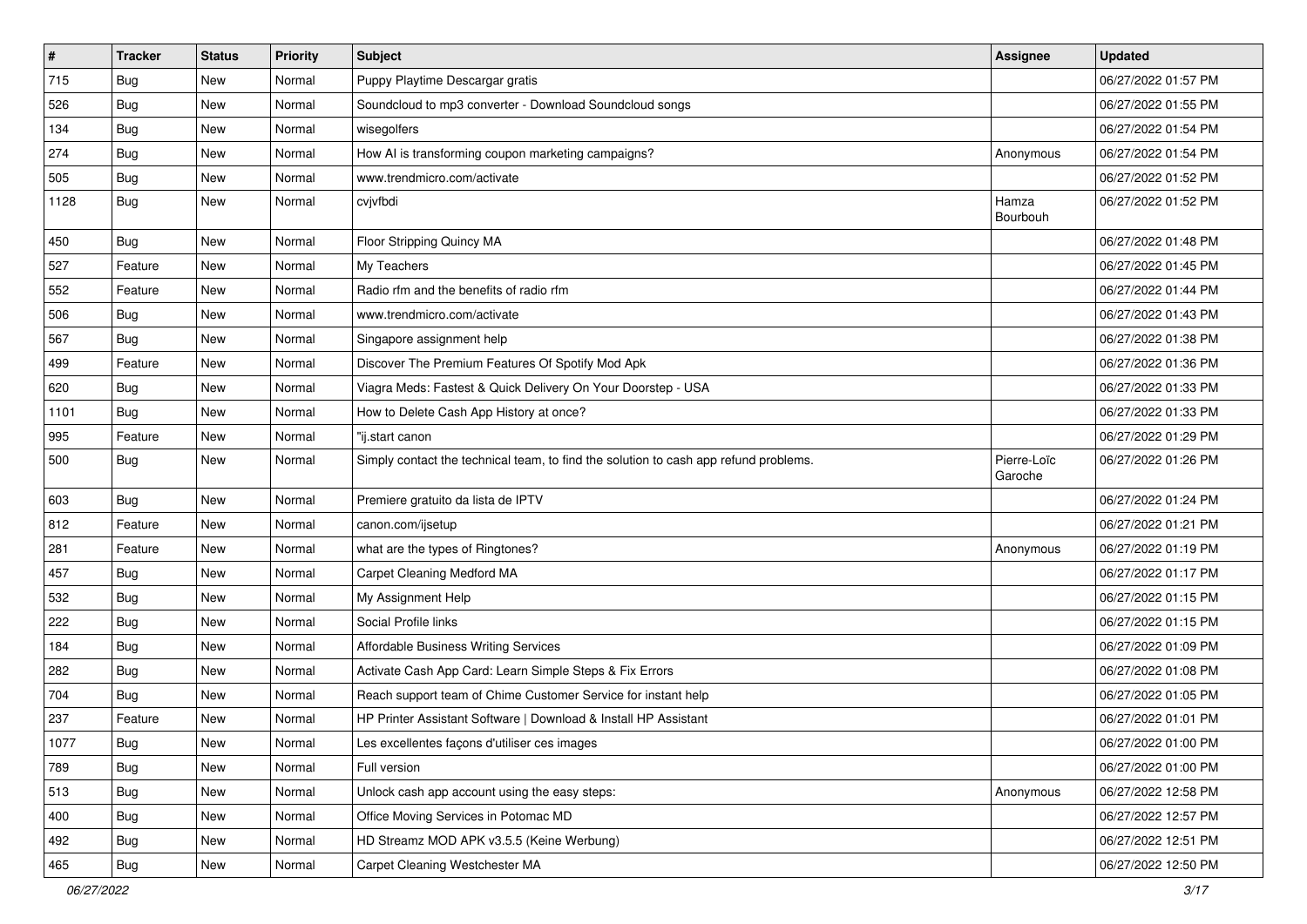| $\sharp$ | <b>Tracker</b> | <b>Status</b> | <b>Priority</b> | Subject                                                                              | <b>Assignee</b>        | <b>Updated</b>      |
|----------|----------------|---------------|-----------------|--------------------------------------------------------------------------------------|------------------------|---------------------|
| 715      | <b>Bug</b>     | New           | Normal          | Puppy Playtime Descargar gratis                                                      |                        | 06/27/2022 01:57 PM |
| 526      | Bug            | New           | Normal          | Soundcloud to mp3 converter - Download Soundcloud songs                              |                        | 06/27/2022 01:55 PM |
| 134      | Bug            | New           | Normal          | wisegolfers                                                                          |                        | 06/27/2022 01:54 PM |
| 274      | Bug            | New           | Normal          | How AI is transforming coupon marketing campaigns?                                   | Anonymous              | 06/27/2022 01:54 PM |
| 505      | Bug            | New           | Normal          | www.trendmicro.com/activate                                                          |                        | 06/27/2022 01:52 PM |
| 1128     | Bug            | New           | Normal          | cvjvfbdi                                                                             | Hamza<br>Bourbouh      | 06/27/2022 01:52 PM |
| 450      | Bug            | <b>New</b>    | Normal          | Floor Stripping Quincy MA                                                            |                        | 06/27/2022 01:48 PM |
| 527      | Feature        | New           | Normal          | My Teachers                                                                          |                        | 06/27/2022 01:45 PM |
| 552      | Feature        | New           | Normal          | Radio rfm and the benefits of radio rfm                                              |                        | 06/27/2022 01:44 PM |
| 506      | Bug            | New           | Normal          | www.trendmicro.com/activate                                                          |                        | 06/27/2022 01:43 PM |
| 567      | Bug            | New           | Normal          | Singapore assignment help                                                            |                        | 06/27/2022 01:38 PM |
| 499      | Feature        | New           | Normal          | Discover The Premium Features Of Spotify Mod Apk                                     |                        | 06/27/2022 01:36 PM |
| 620      | <b>Bug</b>     | New           | Normal          | Viagra Meds: Fastest & Quick Delivery On Your Doorstep - USA                         |                        | 06/27/2022 01:33 PM |
| 1101     | <b>Bug</b>     | New           | Normal          | How to Delete Cash App History at once?                                              |                        | 06/27/2022 01:33 PM |
| 995      | Feature        | New           | Normal          | "ij.start canon                                                                      |                        | 06/27/2022 01:29 PM |
| 500      | Bug            | New           | Normal          | Simply contact the technical team, to find the solution to cash app refund problems. | Pierre-Loïc<br>Garoche | 06/27/2022 01:26 PM |
| 603      | <b>Bug</b>     | New           | Normal          | Premiere gratuito da lista de IPTV                                                   |                        | 06/27/2022 01:24 PM |
| 812      | Feature        | New           | Normal          | canon.com/ijsetup                                                                    |                        | 06/27/2022 01:21 PM |
| 281      | Feature        | New           | Normal          | what are the types of Ringtones?                                                     | Anonymous              | 06/27/2022 01:19 PM |
| 457      | Bug            | New           | Normal          | Carpet Cleaning Medford MA                                                           |                        | 06/27/2022 01:17 PM |
| 532      | Bug            | New           | Normal          | My Assignment Help                                                                   |                        | 06/27/2022 01:15 PM |
| 222      | Bug            | New           | Normal          | Social Profile links                                                                 |                        | 06/27/2022 01:15 PM |
| 184      | Bug            | New           | Normal          | Affordable Business Writing Services                                                 |                        | 06/27/2022 01:09 PM |
| 282      | Bug            | <b>New</b>    | Normal          | Activate Cash App Card: Learn Simple Steps & Fix Errors                              |                        | 06/27/2022 01:08 PM |
| 704      | <b>Bug</b>     | New           | Normal          | Reach support team of Chime Customer Service for instant help                        |                        | 06/27/2022 01:05 PM |
| 237      | Feature        | New           | Normal          | HP Printer Assistant Software   Download & Install HP Assistant                      |                        | 06/27/2022 01:01 PM |
| 1077     | Bug            | New           | Normal          | Les excellentes façons d'utiliser ces images                                         |                        | 06/27/2022 01:00 PM |
| 789      | Bug            | New           | Normal          | Full version                                                                         |                        | 06/27/2022 01:00 PM |
| 513      | Bug            | New           | Normal          | Unlock cash app account using the easy steps:                                        | Anonymous              | 06/27/2022 12:58 PM |
| 400      | <b>Bug</b>     | New           | Normal          | Office Moving Services in Potomac MD                                                 |                        | 06/27/2022 12:57 PM |
| 492      | <b>Bug</b>     | New           | Normal          | HD Streamz MOD APK v3.5.5 (Keine Werbung)                                            |                        | 06/27/2022 12:51 PM |
| 465      | <b>Bug</b>     | New           | Normal          | Carpet Cleaning Westchester MA                                                       |                        | 06/27/2022 12:50 PM |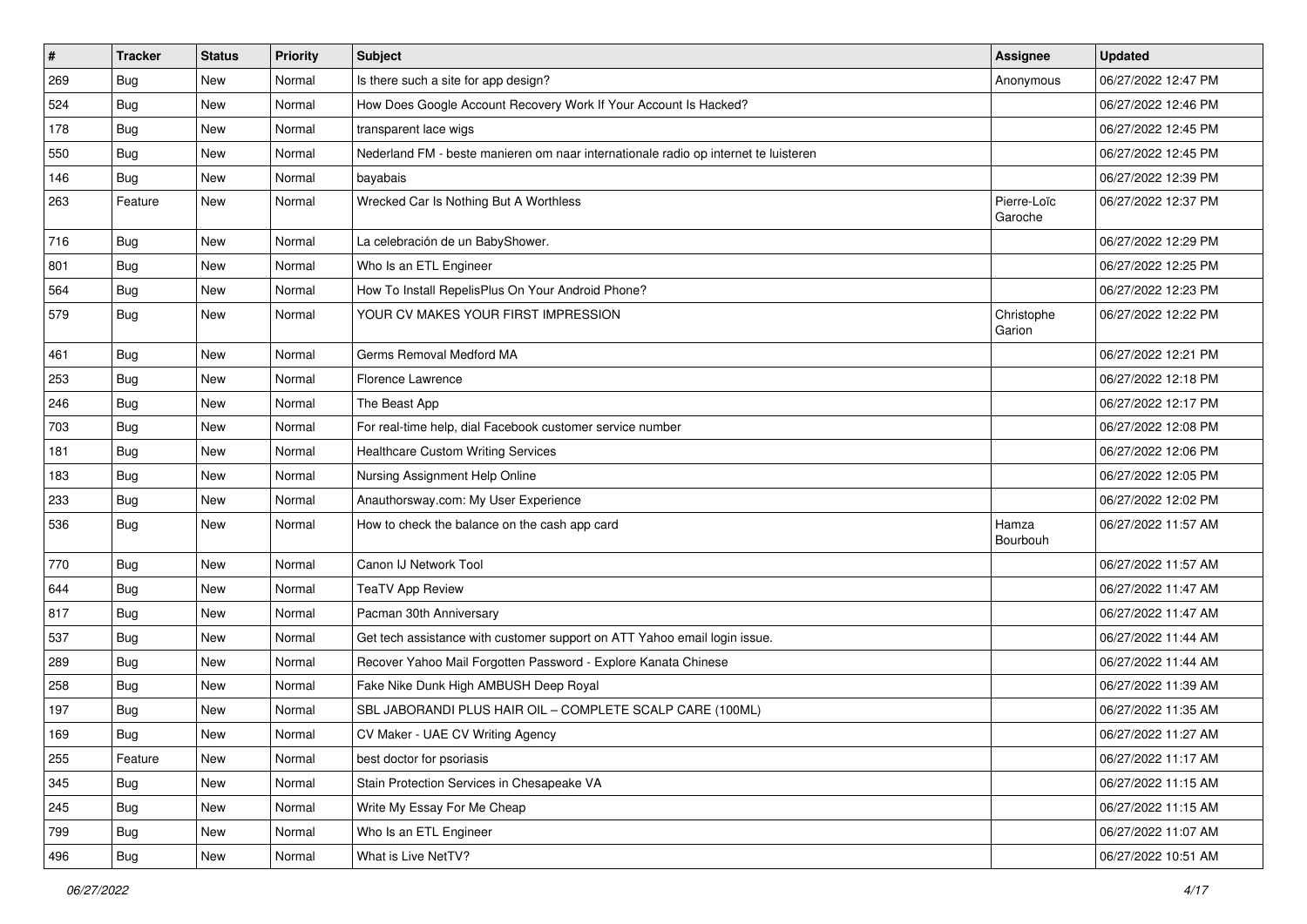| $\vert$ # | <b>Tracker</b> | <b>Status</b> | <b>Priority</b> | Subject                                                                             | <b>Assignee</b>        | <b>Updated</b>      |
|-----------|----------------|---------------|-----------------|-------------------------------------------------------------------------------------|------------------------|---------------------|
| 269       | <b>Bug</b>     | New           | Normal          | Is there such a site for app design?                                                | Anonymous              | 06/27/2022 12:47 PM |
| 524       | Bug            | New           | Normal          | How Does Google Account Recovery Work If Your Account Is Hacked?                    |                        | 06/27/2022 12:46 PM |
| 178       | Bug            | New           | Normal          | transparent lace wigs                                                               |                        | 06/27/2022 12:45 PM |
| 550       | <b>Bug</b>     | New           | Normal          | Nederland FM - beste manieren om naar internationale radio op internet te luisteren |                        | 06/27/2022 12:45 PM |
| 146       | Bug            | New           | Normal          | bayabais                                                                            |                        | 06/27/2022 12:39 PM |
| 263       | Feature        | New           | Normal          | Wrecked Car Is Nothing But A Worthless                                              | Pierre-Loïc<br>Garoche | 06/27/2022 12:37 PM |
| 716       | Bug            | New           | Normal          | La celebración de un BabyShower.                                                    |                        | 06/27/2022 12:29 PM |
| 801       | Bug            | New           | Normal          | Who Is an ETL Engineer                                                              |                        | 06/27/2022 12:25 PM |
| 564       | Bug            | New           | Normal          | How To Install RepelisPlus On Your Android Phone?                                   |                        | 06/27/2022 12:23 PM |
| 579       | Bug            | New           | Normal          | YOUR CV MAKES YOUR FIRST IMPRESSION                                                 | Christophe<br>Garion   | 06/27/2022 12:22 PM |
| 461       | Bug            | New           | Normal          | Germs Removal Medford MA                                                            |                        | 06/27/2022 12:21 PM |
| 253       | Bug            | New           | Normal          | Florence Lawrence                                                                   |                        | 06/27/2022 12:18 PM |
| 246       | <b>Bug</b>     | New           | Normal          | The Beast App                                                                       |                        | 06/27/2022 12:17 PM |
| 703       | <b>Bug</b>     | New           | Normal          | For real-time help, dial Facebook customer service number                           |                        | 06/27/2022 12:08 PM |
| 181       | <b>Bug</b>     | New           | Normal          | <b>Healthcare Custom Writing Services</b>                                           |                        | 06/27/2022 12:06 PM |
| 183       | Bug            | New           | Normal          | Nursing Assignment Help Online                                                      |                        | 06/27/2022 12:05 PM |
| 233       | <b>Bug</b>     | New           | Normal          | Anauthorsway.com: My User Experience                                                |                        | 06/27/2022 12:02 PM |
| 536       | <b>Bug</b>     | New           | Normal          | How to check the balance on the cash app card                                       | Hamza<br>Bourbouh      | 06/27/2022 11:57 AM |
| 770       | Bug            | New           | Normal          | Canon IJ Network Tool                                                               |                        | 06/27/2022 11:57 AM |
| 644       | Bug            | New           | Normal          | <b>TeaTV App Review</b>                                                             |                        | 06/27/2022 11:47 AM |
| 817       | Bug            | New           | Normal          | Pacman 30th Anniversary                                                             |                        | 06/27/2022 11:47 AM |
| 537       | <b>Bug</b>     | New           | Normal          | Get tech assistance with customer support on ATT Yahoo email login issue.           |                        | 06/27/2022 11:44 AM |
| 289       | Bug            | New           | Normal          | Recover Yahoo Mail Forgotten Password - Explore Kanata Chinese                      |                        | 06/27/2022 11:44 AM |
| 258       | <b>Bug</b>     | New           | Normal          | Fake Nike Dunk High AMBUSH Deep Royal                                               |                        | 06/27/2022 11:39 AM |
| 197       | <b>Bug</b>     | New           | Normal          | SBL JABORANDI PLUS HAIR OIL - COMPLETE SCALP CARE (100ML)                           |                        | 06/27/2022 11:35 AM |
| 169       | Bug            | New           | Normal          | CV Maker - UAE CV Writing Agency                                                    |                        | 06/27/2022 11:27 AM |
| 255       | Feature        | New           | Normal          | best doctor for psoriasis                                                           |                        | 06/27/2022 11:17 AM |
| 345       | Bug            | New           | Normal          | Stain Protection Services in Chesapeake VA                                          |                        | 06/27/2022 11:15 AM |
| 245       | <b>Bug</b>     | New           | Normal          | Write My Essay For Me Cheap                                                         |                        | 06/27/2022 11:15 AM |
| 799       | Bug            | New           | Normal          | Who Is an ETL Engineer                                                              |                        | 06/27/2022 11:07 AM |
| 496       | <b>Bug</b>     | New           | Normal          | What is Live NetTV?                                                                 |                        | 06/27/2022 10:51 AM |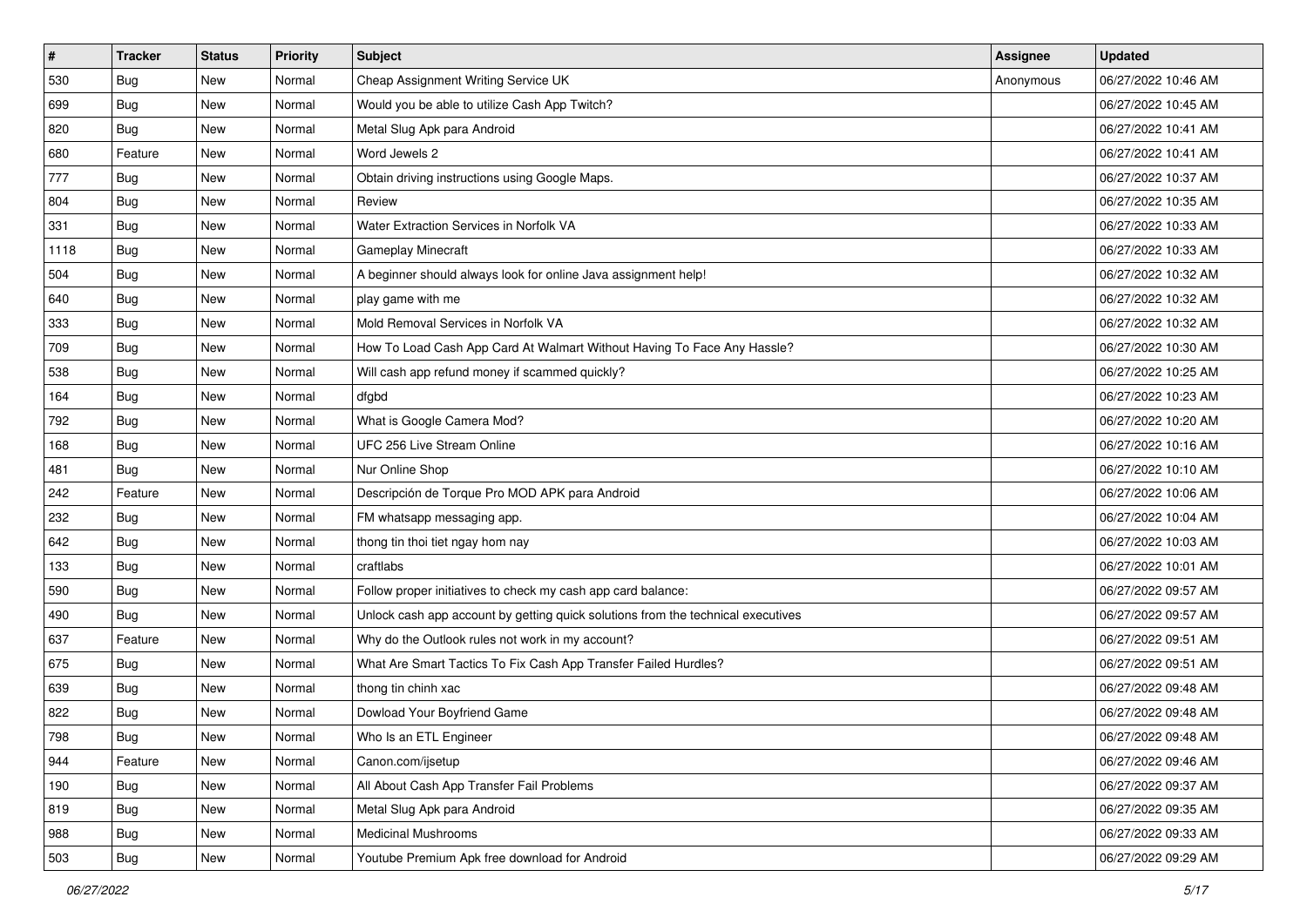| $\pmb{\#}$ | <b>Tracker</b> | <b>Status</b> | <b>Priority</b> | <b>Subject</b>                                                                   | <b>Assignee</b> | <b>Updated</b>      |
|------------|----------------|---------------|-----------------|----------------------------------------------------------------------------------|-----------------|---------------------|
| 530        | <b>Bug</b>     | New           | Normal          | Cheap Assignment Writing Service UK                                              | Anonymous       | 06/27/2022 10:46 AM |
| 699        | Bug            | <b>New</b>    | Normal          | Would you be able to utilize Cash App Twitch?                                    |                 | 06/27/2022 10:45 AM |
| 820        | <b>Bug</b>     | New           | Normal          | Metal Slug Apk para Android                                                      |                 | 06/27/2022 10:41 AM |
| 680        | Feature        | New           | Normal          | Word Jewels 2                                                                    |                 | 06/27/2022 10:41 AM |
| 777        | Bug            | New           | Normal          | Obtain driving instructions using Google Maps.                                   |                 | 06/27/2022 10:37 AM |
| 804        | <b>Bug</b>     | New           | Normal          | Review                                                                           |                 | 06/27/2022 10:35 AM |
| 331        | Bug            | New           | Normal          | Water Extraction Services in Norfolk VA                                          |                 | 06/27/2022 10:33 AM |
| 1118       | <b>Bug</b>     | New           | Normal          | Gameplay Minecraft                                                               |                 | 06/27/2022 10:33 AM |
| 504        | <b>Bug</b>     | New           | Normal          | A beginner should always look for online Java assignment help!                   |                 | 06/27/2022 10:32 AM |
| 640        | Bug            | New           | Normal          | play game with me                                                                |                 | 06/27/2022 10:32 AM |
| 333        | <b>Bug</b>     | New           | Normal          | Mold Removal Services in Norfolk VA                                              |                 | 06/27/2022 10:32 AM |
| 709        | <b>Bug</b>     | New           | Normal          | How To Load Cash App Card At Walmart Without Having To Face Any Hassle?          |                 | 06/27/2022 10:30 AM |
| 538        | <b>Bug</b>     | New           | Normal          | Will cash app refund money if scammed quickly?                                   |                 | 06/27/2022 10:25 AM |
| 164        | <b>Bug</b>     | New           | Normal          | dfgbd                                                                            |                 | 06/27/2022 10:23 AM |
| 792        | <b>Bug</b>     | New           | Normal          | What is Google Camera Mod?                                                       |                 | 06/27/2022 10:20 AM |
| 168        | <b>Bug</b>     | New           | Normal          | UFC 256 Live Stream Online                                                       |                 | 06/27/2022 10:16 AM |
| 481        | <b>Bug</b>     | New           | Normal          | Nur Online Shop                                                                  |                 | 06/27/2022 10:10 AM |
| 242        | Feature        | <b>New</b>    | Normal          | Descripción de Torque Pro MOD APK para Android                                   |                 | 06/27/2022 10:06 AM |
| 232        | <b>Bug</b>     | New           | Normal          | FM whatsapp messaging app.                                                       |                 | 06/27/2022 10:04 AM |
| 642        | <b>Bug</b>     | New           | Normal          | thong tin thoi tiet ngay hom nay                                                 |                 | 06/27/2022 10:03 AM |
| 133        | <b>Bug</b>     | New           | Normal          | craftlabs                                                                        |                 | 06/27/2022 10:01 AM |
| 590        | <b>Bug</b>     | New           | Normal          | Follow proper initiatives to check my cash app card balance:                     |                 | 06/27/2022 09:57 AM |
| 490        | Bug            | <b>New</b>    | Normal          | Unlock cash app account by getting quick solutions from the technical executives |                 | 06/27/2022 09:57 AM |
| 637        | Feature        | New           | Normal          | Why do the Outlook rules not work in my account?                                 |                 | 06/27/2022 09:51 AM |
| 675        | <b>Bug</b>     | New           | Normal          | What Are Smart Tactics To Fix Cash App Transfer Failed Hurdles?                  |                 | 06/27/2022 09:51 AM |
| 639        | Bug            | New           | Normal          | thong tin chinh xac                                                              |                 | 06/27/2022 09:48 AM |
| 822        | <b>Bug</b>     | New           | Normal          | Dowload Your Boyfriend Game                                                      |                 | 06/27/2022 09:48 AM |
| 798        | I Bug          | New           | Normal          | Who Is an ETL Engineer                                                           |                 | 06/27/2022 09:48 AM |
| 944        | Feature        | New           | Normal          | Canon.com/ijsetup                                                                |                 | 06/27/2022 09:46 AM |
| 190        | <b>Bug</b>     | New           | Normal          | All About Cash App Transfer Fail Problems                                        |                 | 06/27/2022 09:37 AM |
| 819        | <b>Bug</b>     | New           | Normal          | Metal Slug Apk para Android                                                      |                 | 06/27/2022 09:35 AM |
| 988        | <b>Bug</b>     | New           | Normal          | <b>Medicinal Mushrooms</b>                                                       |                 | 06/27/2022 09:33 AM |
| 503        | Bug            | New           | Normal          | Youtube Premium Apk free download for Android                                    |                 | 06/27/2022 09:29 AM |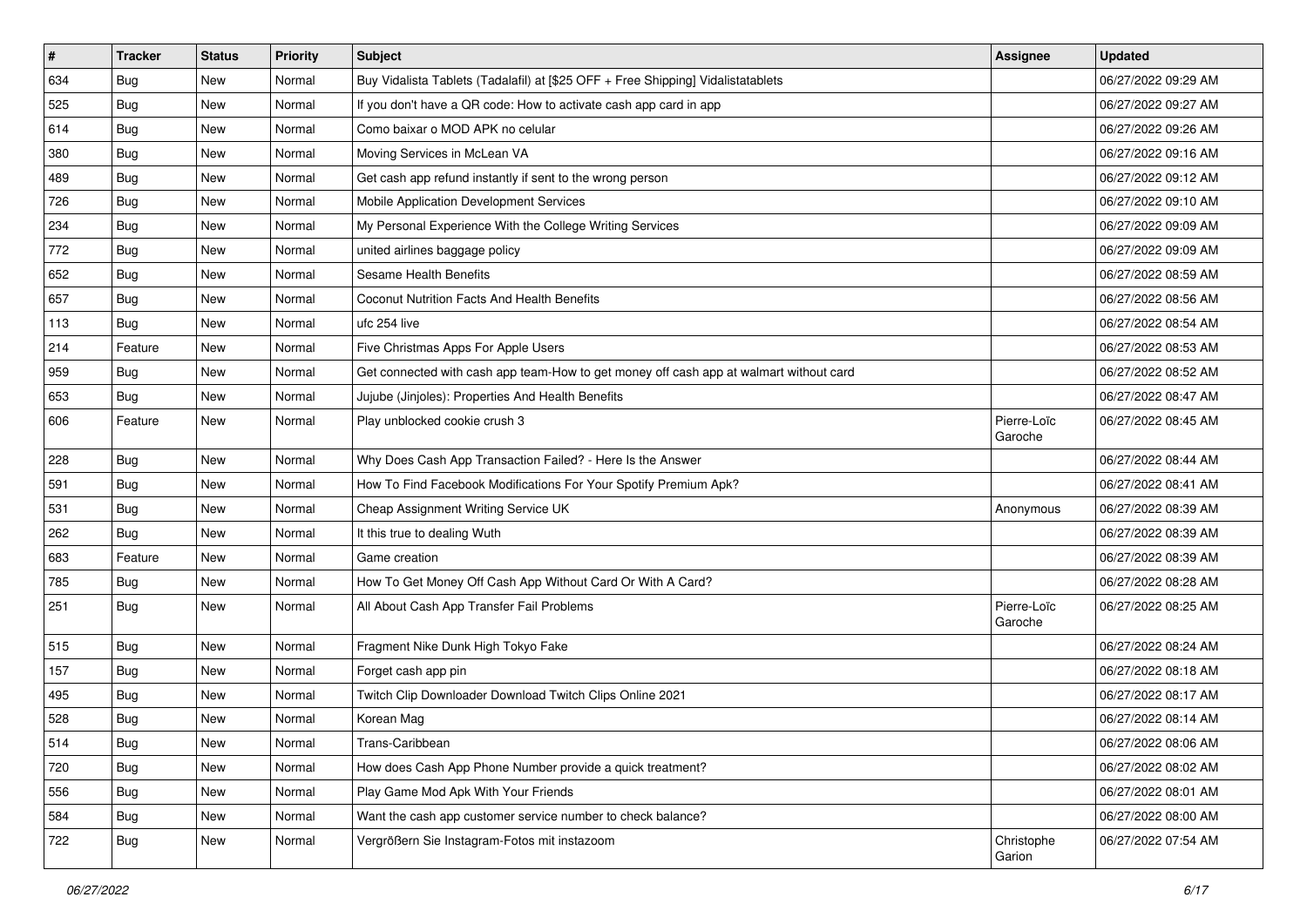| #   | <b>Tracker</b> | <b>Status</b> | <b>Priority</b> | Subject                                                                                | <b>Assignee</b>        | <b>Updated</b>      |
|-----|----------------|---------------|-----------------|----------------------------------------------------------------------------------------|------------------------|---------------------|
| 634 | <b>Bug</b>     | New           | Normal          | Buy Vidalista Tablets (Tadalafil) at [\$25 OFF + Free Shipping] Vidalistatablets       |                        | 06/27/2022 09:29 AM |
| 525 | Bug            | New           | Normal          | If you don't have a QR code: How to activate cash app card in app                      |                        | 06/27/2022 09:27 AM |
| 614 | <b>Bug</b>     | New           | Normal          | Como baixar o MOD APK no celular                                                       |                        | 06/27/2022 09:26 AM |
| 380 | <b>Bug</b>     | New           | Normal          | Moving Services in McLean VA                                                           |                        | 06/27/2022 09:16 AM |
| 489 | Bug            | New           | Normal          | Get cash app refund instantly if sent to the wrong person                              |                        | 06/27/2022 09:12 AM |
| 726 | <b>Bug</b>     | New           | Normal          | Mobile Application Development Services                                                |                        | 06/27/2022 09:10 AM |
| 234 | <b>Bug</b>     | New           | Normal          | My Personal Experience With the College Writing Services                               |                        | 06/27/2022 09:09 AM |
| 772 | Bug            | New           | Normal          | united airlines baggage policy                                                         |                        | 06/27/2022 09:09 AM |
| 652 | <b>Bug</b>     | New           | Normal          | <b>Sesame Health Benefits</b>                                                          |                        | 06/27/2022 08:59 AM |
| 657 | Bug            | <b>New</b>    | Normal          | <b>Coconut Nutrition Facts And Health Benefits</b>                                     |                        | 06/27/2022 08:56 AM |
| 113 | Bug            | New           | Normal          | ufc 254 live                                                                           |                        | 06/27/2022 08:54 AM |
| 214 | Feature        | New           | Normal          | Five Christmas Apps For Apple Users                                                    |                        | 06/27/2022 08:53 AM |
| 959 | Bug            | New           | Normal          | Get connected with cash app team-How to get money off cash app at walmart without card |                        | 06/27/2022 08:52 AM |
| 653 | Bug            | New           | Normal          | Jujube (Jinjoles): Properties And Health Benefits                                      |                        | 06/27/2022 08:47 AM |
| 606 | Feature        | New           | Normal          | Play unblocked cookie crush 3                                                          | Pierre-Loïc<br>Garoche | 06/27/2022 08:45 AM |
| 228 | Bug            | New           | Normal          | Why Does Cash App Transaction Failed? - Here Is the Answer                             |                        | 06/27/2022 08:44 AM |
| 591 | Bug            | New           | Normal          | How To Find Facebook Modifications For Your Spotify Premium Apk?                       |                        | 06/27/2022 08:41 AM |
| 531 | Bug            | New           | Normal          | Cheap Assignment Writing Service UK                                                    | Anonymous              | 06/27/2022 08:39 AM |
| 262 | Bug            | New           | Normal          | It this true to dealing Wuth                                                           |                        | 06/27/2022 08:39 AM |
| 683 | Feature        | New           | Normal          | Game creation                                                                          |                        | 06/27/2022 08:39 AM |
| 785 | Bug            | New           | Normal          | How To Get Money Off Cash App Without Card Or With A Card?                             |                        | 06/27/2022 08:28 AM |
| 251 | <b>Bug</b>     | New           | Normal          | All About Cash App Transfer Fail Problems                                              | Pierre-Loïc<br>Garoche | 06/27/2022 08:25 AM |
| 515 | Bug            | New           | Normal          | Fragment Nike Dunk High Tokyo Fake                                                     |                        | 06/27/2022 08:24 AM |
| 157 | <b>Bug</b>     | New           | Normal          | Forget cash app pin                                                                    |                        | 06/27/2022 08:18 AM |
| 495 | Bug            | New           | Normal          | Twitch Clip Downloader Download Twitch Clips Online 2021                               |                        | 06/27/2022 08:17 AM |
| 528 | <b>Bug</b>     | New           | Normal          | Korean Mag                                                                             |                        | 06/27/2022 08:14 AM |
| 514 | Bug            | New           | Normal          | Trans-Caribbean                                                                        |                        | 06/27/2022 08:06 AM |
| 720 | Bug            | New           | Normal          | How does Cash App Phone Number provide a quick treatment?                              |                        | 06/27/2022 08:02 AM |
| 556 | <b>Bug</b>     | New           | Normal          | Play Game Mod Apk With Your Friends                                                    |                        | 06/27/2022 08:01 AM |
| 584 | <b>Bug</b>     | New           | Normal          | Want the cash app customer service number to check balance?                            |                        | 06/27/2022 08:00 AM |
| 722 | <b>Bug</b>     | New           | Normal          | Vergrößern Sie Instagram-Fotos mit instazoom                                           | Christophe<br>Garion   | 06/27/2022 07:54 AM |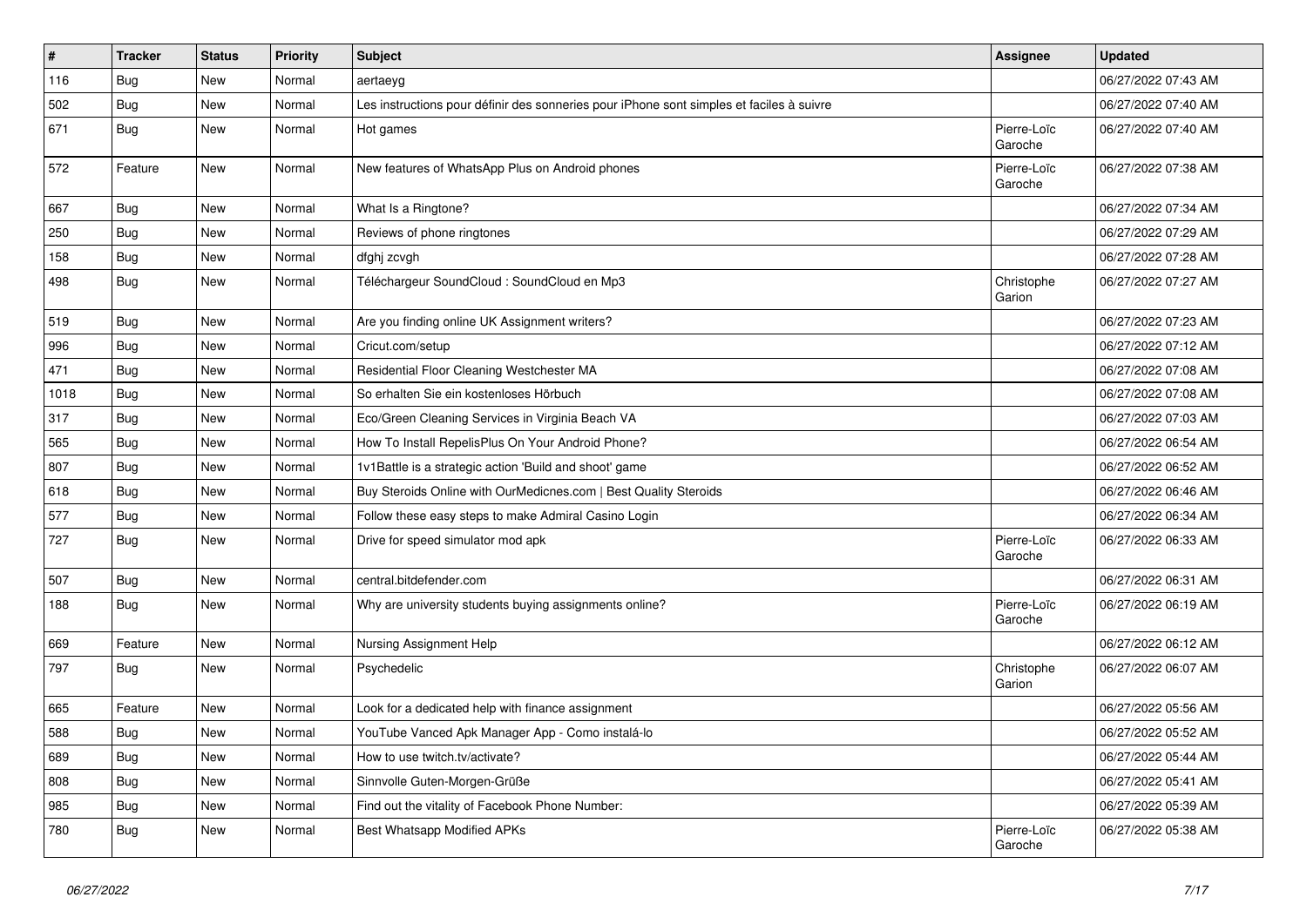| #    | <b>Tracker</b> | <b>Status</b> | <b>Priority</b> | Subject                                                                                  | <b>Assignee</b>        | <b>Updated</b>      |
|------|----------------|---------------|-----------------|------------------------------------------------------------------------------------------|------------------------|---------------------|
| 116  | Bug            | New           | Normal          | aertaeyg                                                                                 |                        | 06/27/2022 07:43 AM |
| 502  | Bug            | New           | Normal          | Les instructions pour définir des sonneries pour iPhone sont simples et faciles à suivre |                        | 06/27/2022 07:40 AM |
| 671  | Bug            | New           | Normal          | Hot games                                                                                | Pierre-Loïc<br>Garoche | 06/27/2022 07:40 AM |
| 572  | Feature        | New           | Normal          | New features of WhatsApp Plus on Android phones                                          | Pierre-Loïc<br>Garoche | 06/27/2022 07:38 AM |
| 667  | Bug            | New           | Normal          | What Is a Ringtone?                                                                      |                        | 06/27/2022 07:34 AM |
| 250  | Bug            | New           | Normal          | Reviews of phone ringtones                                                               |                        | 06/27/2022 07:29 AM |
| 158  | Bug            | New           | Normal          | dfghj zcvgh                                                                              |                        | 06/27/2022 07:28 AM |
| 498  | <b>Bug</b>     | New           | Normal          | Téléchargeur SoundCloud : SoundCloud en Mp3                                              | Christophe<br>Garion   | 06/27/2022 07:27 AM |
| 519  | Bug            | New           | Normal          | Are you finding online UK Assignment writers?                                            |                        | 06/27/2022 07:23 AM |
| 996  | Bug            | New           | Normal          | Cricut.com/setup                                                                         |                        | 06/27/2022 07:12 AM |
| 471  | <b>Bug</b>     | New           | Normal          | Residential Floor Cleaning Westchester MA                                                |                        | 06/27/2022 07:08 AM |
| 1018 | Bug            | New           | Normal          | So erhalten Sie ein kostenloses Hörbuch                                                  |                        | 06/27/2022 07:08 AM |
| 317  | Bug            | New           | Normal          | Eco/Green Cleaning Services in Virginia Beach VA                                         |                        | 06/27/2022 07:03 AM |
| 565  | Bug            | New           | Normal          | How To Install RepelisPlus On Your Android Phone?                                        |                        | 06/27/2022 06:54 AM |
| 807  | <b>Bug</b>     | New           | Normal          | 1v1Battle is a strategic action 'Build and shoot' game                                   |                        | 06/27/2022 06:52 AM |
| 618  | <b>Bug</b>     | New           | Normal          | Buy Steroids Online with OurMedicnes.com   Best Quality Steroids                         |                        | 06/27/2022 06:46 AM |
| 577  | Bug            | New           | Normal          | Follow these easy steps to make Admiral Casino Login                                     |                        | 06/27/2022 06:34 AM |
| 727  | Bug            | New           | Normal          | Drive for speed simulator mod apk                                                        | Pierre-Loïc<br>Garoche | 06/27/2022 06:33 AM |
| 507  | <b>Bug</b>     | New           | Normal          | central.bitdefender.com                                                                  |                        | 06/27/2022 06:31 AM |
| 188  | Bug            | New           | Normal          | Why are university students buying assignments online?                                   | Pierre-Loïc<br>Garoche | 06/27/2022 06:19 AM |
| 669  | Feature        | New           | Normal          | Nursing Assignment Help                                                                  |                        | 06/27/2022 06:12 AM |
| 797  | Bug            | New           | Normal          | Psychedelic                                                                              | Christophe<br>Garion   | 06/27/2022 06:07 AM |
| 665  | Feature        | New           | Normal          | Look for a dedicated help with finance assignment                                        |                        | 06/27/2022 05:56 AM |
| 588  | Bug            | New           | Normal          | YouTube Vanced Apk Manager App - Como instalá-lo                                         |                        | 06/27/2022 05:52 AM |
| 689  | Bug            | New           | Normal          | How to use twitch.tv/activate?                                                           |                        | 06/27/2022 05:44 AM |
| 808  | Bug            | New           | Normal          | Sinnvolle Guten-Morgen-Grüße                                                             |                        | 06/27/2022 05:41 AM |
| 985  | Bug            | New           | Normal          | Find out the vitality of Facebook Phone Number:                                          |                        | 06/27/2022 05:39 AM |
| 780  | <b>Bug</b>     | New           | Normal          | Best Whatsapp Modified APKs                                                              | Pierre-Loïc<br>Garoche | 06/27/2022 05:38 AM |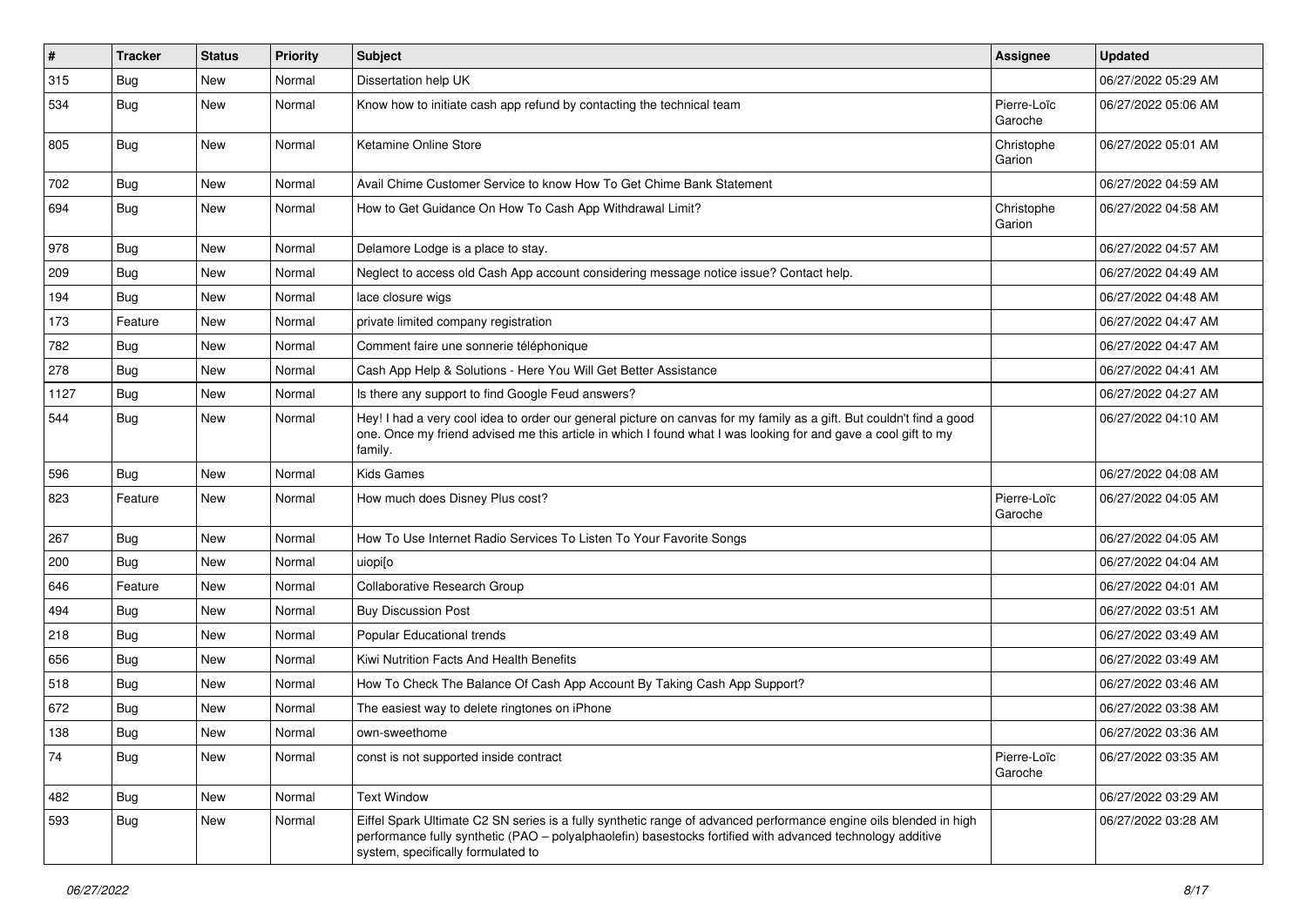| $\pmb{\#}$ | <b>Tracker</b> | <b>Status</b> | <b>Priority</b> | <b>Subject</b>                                                                                                                                                                                                                                                        | <b>Assignee</b>        | <b>Updated</b>      |
|------------|----------------|---------------|-----------------|-----------------------------------------------------------------------------------------------------------------------------------------------------------------------------------------------------------------------------------------------------------------------|------------------------|---------------------|
| 315        | Bug            | New           | Normal          | Dissertation help UK                                                                                                                                                                                                                                                  |                        | 06/27/2022 05:29 AM |
| 534        | <b>Bug</b>     | New           | Normal          | Know how to initiate cash app refund by contacting the technical team                                                                                                                                                                                                 | Pierre-Loïc<br>Garoche | 06/27/2022 05:06 AM |
| 805        | <b>Bug</b>     | New           | Normal          | Ketamine Online Store                                                                                                                                                                                                                                                 | Christophe<br>Garion   | 06/27/2022 05:01 AM |
| 702        | <b>Bug</b>     | New           | Normal          | Avail Chime Customer Service to know How To Get Chime Bank Statement                                                                                                                                                                                                  |                        | 06/27/2022 04:59 AM |
| 694        | Bug            | New           | Normal          | How to Get Guidance On How To Cash App Withdrawal Limit?                                                                                                                                                                                                              | Christophe<br>Garion   | 06/27/2022 04:58 AM |
| 978        | Bug            | New           | Normal          | Delamore Lodge is a place to stay.                                                                                                                                                                                                                                    |                        | 06/27/2022 04:57 AM |
| 209        | Bug            | New           | Normal          | Neglect to access old Cash App account considering message notice issue? Contact help.                                                                                                                                                                                |                        | 06/27/2022 04:49 AM |
| 194        | <b>Bug</b>     | New           | Normal          | lace closure wigs                                                                                                                                                                                                                                                     |                        | 06/27/2022 04:48 AM |
| 173        | Feature        | New           | Normal          | private limited company registration                                                                                                                                                                                                                                  |                        | 06/27/2022 04:47 AM |
| 782        | Bug            | New           | Normal          | Comment faire une sonnerie téléphonique                                                                                                                                                                                                                               |                        | 06/27/2022 04:47 AM |
| 278        | <b>Bug</b>     | New           | Normal          | Cash App Help & Solutions - Here You Will Get Better Assistance                                                                                                                                                                                                       |                        | 06/27/2022 04:41 AM |
| 1127       | Bug            | New           | Normal          | Is there any support to find Google Feud answers?                                                                                                                                                                                                                     |                        | 06/27/2022 04:27 AM |
| 544        | <b>Bug</b>     | New           | Normal          | Hey! I had a very cool idea to order our general picture on canvas for my family as a gift. But couldn't find a good<br>one. Once my friend advised me this article in which I found what I was looking for and gave a cool gift to my<br>family.                     |                        | 06/27/2022 04:10 AM |
| 596        | <b>Bug</b>     | New           | Normal          | <b>Kids Games</b>                                                                                                                                                                                                                                                     |                        | 06/27/2022 04:08 AM |
| 823        | Feature        | New           | Normal          | How much does Disney Plus cost?                                                                                                                                                                                                                                       | Pierre-Loïc<br>Garoche | 06/27/2022 04:05 AM |
| 267        | Bug            | New           | Normal          | How To Use Internet Radio Services To Listen To Your Favorite Songs                                                                                                                                                                                                   |                        | 06/27/2022 04:05 AM |
| 200        | <b>Bug</b>     | New           | Normal          | uiopiso                                                                                                                                                                                                                                                               |                        | 06/27/2022 04:04 AM |
| 646        | Feature        | New           | Normal          | Collaborative Research Group                                                                                                                                                                                                                                          |                        | 06/27/2022 04:01 AM |
| 494        | Bug            | New           | Normal          | <b>Buy Discussion Post</b>                                                                                                                                                                                                                                            |                        | 06/27/2022 03:51 AM |
| 218        | Bug            | New           | Normal          | Popular Educational trends                                                                                                                                                                                                                                            |                        | 06/27/2022 03:49 AM |
| 656        | Bug            | New           | Normal          | Kiwi Nutrition Facts And Health Benefits                                                                                                                                                                                                                              |                        | 06/27/2022 03:49 AM |
| 518        | <b>Bug</b>     | New           | Normal          | How To Check The Balance Of Cash App Account By Taking Cash App Support?                                                                                                                                                                                              |                        | 06/27/2022 03:46 AM |
| 672        | <b>Bug</b>     | New           | Normal          | The easiest way to delete ringtones on iPhone                                                                                                                                                                                                                         |                        | 06/27/2022 03:38 AM |
| 138        | i Bug          | New           | Normal          | own-sweethome                                                                                                                                                                                                                                                         |                        | 06/27/2022 03:36 AM |
| 74         | Bug            | New           | Normal          | const is not supported inside contract                                                                                                                                                                                                                                | Pierre-Loïc<br>Garoche | 06/27/2022 03:35 AM |
| 482        | Bug            | New           | Normal          | <b>Text Window</b>                                                                                                                                                                                                                                                    |                        | 06/27/2022 03:29 AM |
| 593        | <b>Bug</b>     | New           | Normal          | Eiffel Spark Ultimate C2 SN series is a fully synthetic range of advanced performance engine oils blended in high<br>performance fully synthetic (PAO - polyalphaolefin) basestocks fortified with advanced technology additive<br>system, specifically formulated to |                        | 06/27/2022 03:28 AM |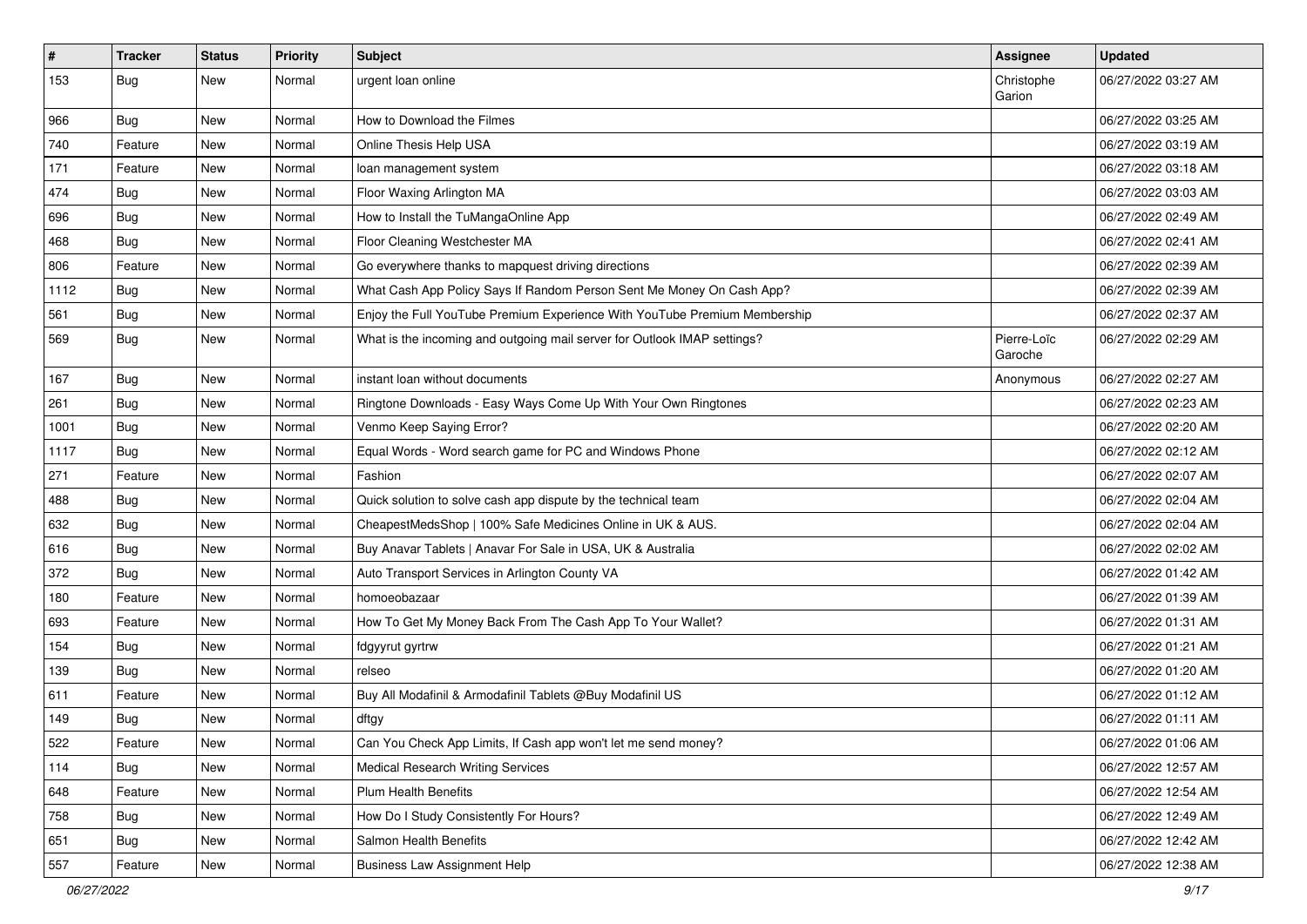| $\sharp$ | <b>Tracker</b> | <b>Status</b> | <b>Priority</b> | Subject                                                                   | <b>Assignee</b>        | <b>Updated</b>      |
|----------|----------------|---------------|-----------------|---------------------------------------------------------------------------|------------------------|---------------------|
| 153      | Bug            | New           | Normal          | urgent loan online                                                        | Christophe<br>Garion   | 06/27/2022 03:27 AM |
| 966      | <b>Bug</b>     | New           | Normal          | How to Download the Filmes                                                |                        | 06/27/2022 03:25 AM |
| 740      | Feature        | New           | Normal          | Online Thesis Help USA                                                    |                        | 06/27/2022 03:19 AM |
| 171      | Feature        | New           | Normal          | loan management system                                                    |                        | 06/27/2022 03:18 AM |
| 474      | <b>Bug</b>     | New           | Normal          | Floor Waxing Arlington MA                                                 |                        | 06/27/2022 03:03 AM |
| 696      | <b>Bug</b>     | <b>New</b>    | Normal          | How to Install the TuMangaOnline App                                      |                        | 06/27/2022 02:49 AM |
| 468      | <b>Bug</b>     | New           | Normal          | Floor Cleaning Westchester MA                                             |                        | 06/27/2022 02:41 AM |
| 806      | Feature        | <b>New</b>    | Normal          | Go everywhere thanks to mapquest driving directions                       |                        | 06/27/2022 02:39 AM |
| 1112     | Bug            | New           | Normal          | What Cash App Policy Says If Random Person Sent Me Money On Cash App?     |                        | 06/27/2022 02:39 AM |
| 561      | <b>Bug</b>     | <b>New</b>    | Normal          | Enjoy the Full YouTube Premium Experience With YouTube Premium Membership |                        | 06/27/2022 02:37 AM |
| 569      | Bug            | New           | Normal          | What is the incoming and outgoing mail server for Outlook IMAP settings?  | Pierre-Loïc<br>Garoche | 06/27/2022 02:29 AM |
| 167      | <b>Bug</b>     | New           | Normal          | instant loan without documents                                            | Anonymous              | 06/27/2022 02:27 AM |
| 261      | <b>Bug</b>     | <b>New</b>    | Normal          | Ringtone Downloads - Easy Ways Come Up With Your Own Ringtones            |                        | 06/27/2022 02:23 AM |
| 1001     | <b>Bug</b>     | New           | Normal          | Venmo Keep Saying Error?                                                  |                        | 06/27/2022 02:20 AM |
| 1117     | <b>Bug</b>     | New           | Normal          | Equal Words - Word search game for PC and Windows Phone                   |                        | 06/27/2022 02:12 AM |
| 271      | Feature        | New           | Normal          | Fashion                                                                   |                        | 06/27/2022 02:07 AM |
| 488      | Bug            | New           | Normal          | Quick solution to solve cash app dispute by the technical team            |                        | 06/27/2022 02:04 AM |
| 632      | Bug            | <b>New</b>    | Normal          | CheapestMedsShop   100% Safe Medicines Online in UK & AUS.                |                        | 06/27/2022 02:04 AM |
| 616      | <b>Bug</b>     | New           | Normal          | Buy Anavar Tablets   Anavar For Sale in USA, UK & Australia               |                        | 06/27/2022 02:02 AM |
| 372      | <b>Bug</b>     | <b>New</b>    | Normal          | Auto Transport Services in Arlington County VA                            |                        | 06/27/2022 01:42 AM |
| 180      | Feature        | New           | Normal          | homoeobazaar                                                              |                        | 06/27/2022 01:39 AM |
| 693      | Feature        | New           | Normal          | How To Get My Money Back From The Cash App To Your Wallet?                |                        | 06/27/2022 01:31 AM |
| 154      | <b>Bug</b>     | New           | Normal          | fdgyyrut gyrtrw                                                           |                        | 06/27/2022 01:21 AM |
| 139      | <b>Bug</b>     | New           | Normal          | relseo                                                                    |                        | 06/27/2022 01:20 AM |
| 611      | Feature        | New           | Normal          | Buy All Modafinil & Armodafinil Tablets @Buy Modafinil US                 |                        | 06/27/2022 01:12 AM |
| 149      | Bug            | New           | Normal          | dftgy                                                                     |                        | 06/27/2022 01:11 AM |
| 522      | Feature        | New           | Normal          | Can You Check App Limits, If Cash app won't let me send money?            |                        | 06/27/2022 01:06 AM |
| 114      | <b>Bug</b>     | New           | Normal          | <b>Medical Research Writing Services</b>                                  |                        | 06/27/2022 12:57 AM |
| 648      | Feature        | New           | Normal          | Plum Health Benefits                                                      |                        | 06/27/2022 12:54 AM |
| 758      | <b>Bug</b>     | New           | Normal          | How Do I Study Consistently For Hours?                                    |                        | 06/27/2022 12:49 AM |
| 651      | <b>Bug</b>     | New           | Normal          | Salmon Health Benefits                                                    |                        | 06/27/2022 12:42 AM |
| 557      | Feature        | New           | Normal          | <b>Business Law Assignment Help</b>                                       |                        | 06/27/2022 12:38 AM |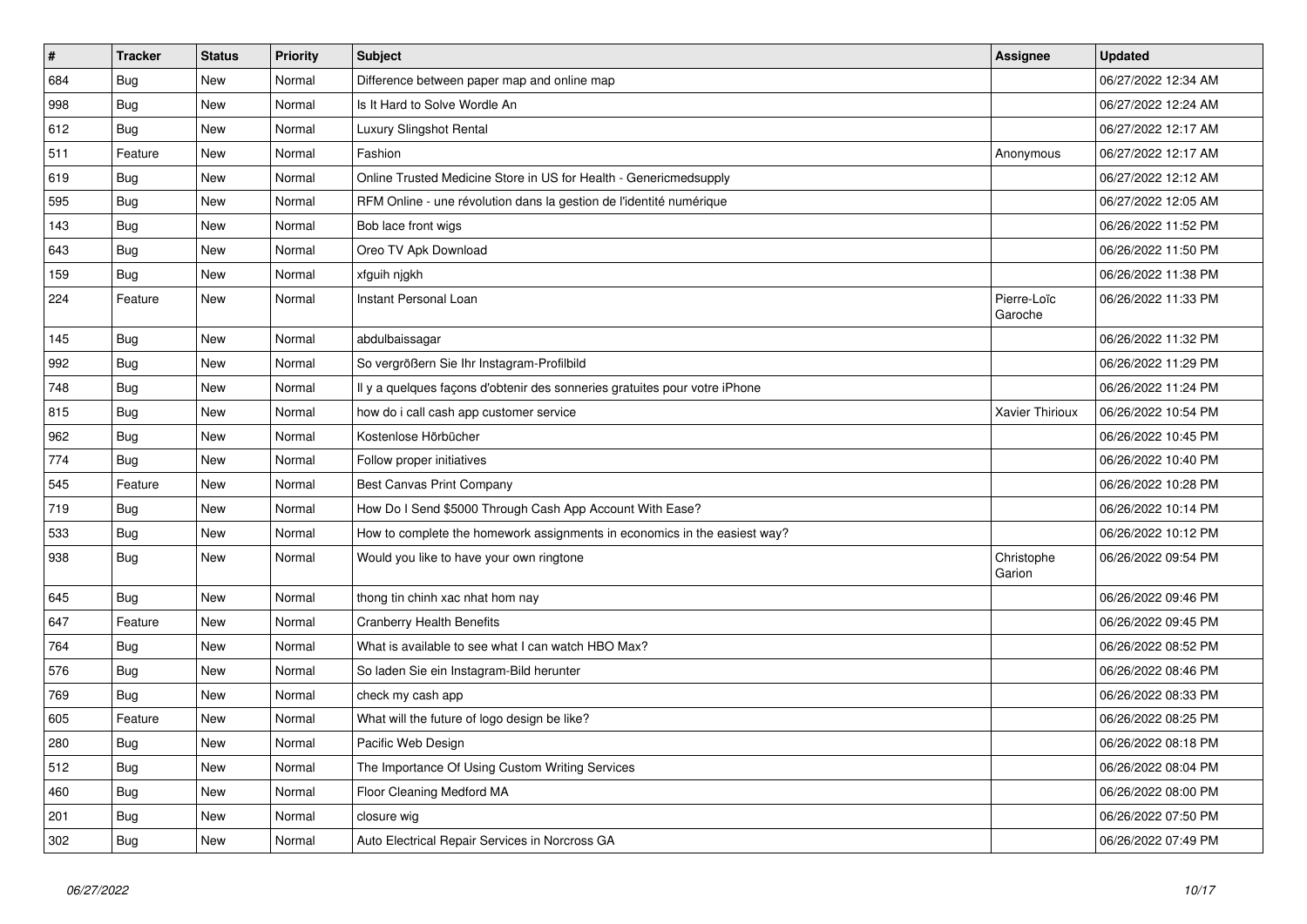| $\vert$ # | <b>Tracker</b> | <b>Status</b> | <b>Priority</b> | <b>Subject</b>                                                             | <b>Assignee</b>        | <b>Updated</b>      |
|-----------|----------------|---------------|-----------------|----------------------------------------------------------------------------|------------------------|---------------------|
| 684       | <b>Bug</b>     | <b>New</b>    | Normal          | Difference between paper map and online map                                |                        | 06/27/2022 12:34 AM |
| 998       | <b>Bug</b>     | <b>New</b>    | Normal          | Is It Hard to Solve Wordle An                                              |                        | 06/27/2022 12:24 AM |
| 612       | Bug            | New           | Normal          | Luxury Slingshot Rental                                                    |                        | 06/27/2022 12:17 AM |
| 511       | Feature        | New           | Normal          | Fashion                                                                    | Anonymous              | 06/27/2022 12:17 AM |
| 619       | <b>Bug</b>     | New           | Normal          | Online Trusted Medicine Store in US for Health - Genericmedsupply          |                        | 06/27/2022 12:12 AM |
| 595       | <b>Bug</b>     | <b>New</b>    | Normal          | RFM Online - une révolution dans la gestion de l'identité numérique        |                        | 06/27/2022 12:05 AM |
| 143       | <b>Bug</b>     | <b>New</b>    | Normal          | Bob lace front wigs                                                        |                        | 06/26/2022 11:52 PM |
| 643       | <b>Bug</b>     | New           | Normal          | Oreo TV Apk Download                                                       |                        | 06/26/2022 11:50 PM |
| 159       | Bug            | New           | Normal          | xfguih nigkh                                                               |                        | 06/26/2022 11:38 PM |
| 224       | Feature        | New           | Normal          | Instant Personal Loan                                                      | Pierre-Loïc<br>Garoche | 06/26/2022 11:33 PM |
| 145       | <b>Bug</b>     | New           | Normal          | abdulbaissagar                                                             |                        | 06/26/2022 11:32 PM |
| 992       | <b>Bug</b>     | New           | Normal          | So vergrößern Sie Ihr Instagram-Profilbild                                 |                        | 06/26/2022 11:29 PM |
| 748       | <b>Bug</b>     | New           | Normal          | Il y a quelques façons d'obtenir des sonneries gratuites pour votre iPhone |                        | 06/26/2022 11:24 PM |
| 815       | Bug            | New           | Normal          | how do i call cash app customer service                                    | Xavier Thirioux        | 06/26/2022 10:54 PM |
| 962       | Bug            | New           | Normal          | Kostenlose Hörbücher                                                       |                        | 06/26/2022 10:45 PM |
| 774       | <b>Bug</b>     | New           | Normal          | Follow proper initiatives                                                  |                        | 06/26/2022 10:40 PM |
| 545       | Feature        | New           | Normal          | Best Canvas Print Company                                                  |                        | 06/26/2022 10:28 PM |
| 719       | Bug            | New           | Normal          | How Do I Send \$5000 Through Cash App Account With Ease?                   |                        | 06/26/2022 10:14 PM |
| 533       | Bug            | New           | Normal          | How to complete the homework assignments in economics in the easiest way?  |                        | 06/26/2022 10:12 PM |
| 938       | Bug            | New           | Normal          | Would you like to have your own ringtone                                   | Christophe<br>Garion   | 06/26/2022 09:54 PM |
| 645       | Bug            | New           | Normal          | thong tin chinh xac nhat hom nay                                           |                        | 06/26/2022 09:46 PM |
| 647       | Feature        | <b>New</b>    | Normal          | <b>Cranberry Health Benefits</b>                                           |                        | 06/26/2022 09:45 PM |
| 764       | Bug            | <b>New</b>    | Normal          | What is available to see what I can watch HBO Max?                         |                        | 06/26/2022 08:52 PM |
| 576       | Bug            | New           | Normal          | So laden Sie ein Instagram-Bild herunter                                   |                        | 06/26/2022 08:46 PM |
| 769       | <b>Bug</b>     | New           | Normal          | check my cash app                                                          |                        | 06/26/2022 08:33 PM |
| 605       | Feature        | New           | Normal          | What will the future of logo design be like?                               |                        | 06/26/2022 08:25 PM |
| 280       | <b>Bug</b>     | New           | Normal          | Pacific Web Design                                                         |                        | 06/26/2022 08:18 PM |
| 512       | <b>Bug</b>     | <b>New</b>    | Normal          | The Importance Of Using Custom Writing Services                            |                        | 06/26/2022 08:04 PM |
| 460       | Bug            | <b>New</b>    | Normal          | Floor Cleaning Medford MA                                                  |                        | 06/26/2022 08:00 PM |
| 201       | Bug            | New           | Normal          | closure wig                                                                |                        | 06/26/2022 07:50 PM |
| 302       | Bug            | New           | Normal          | Auto Electrical Repair Services in Norcross GA                             |                        | 06/26/2022 07:49 PM |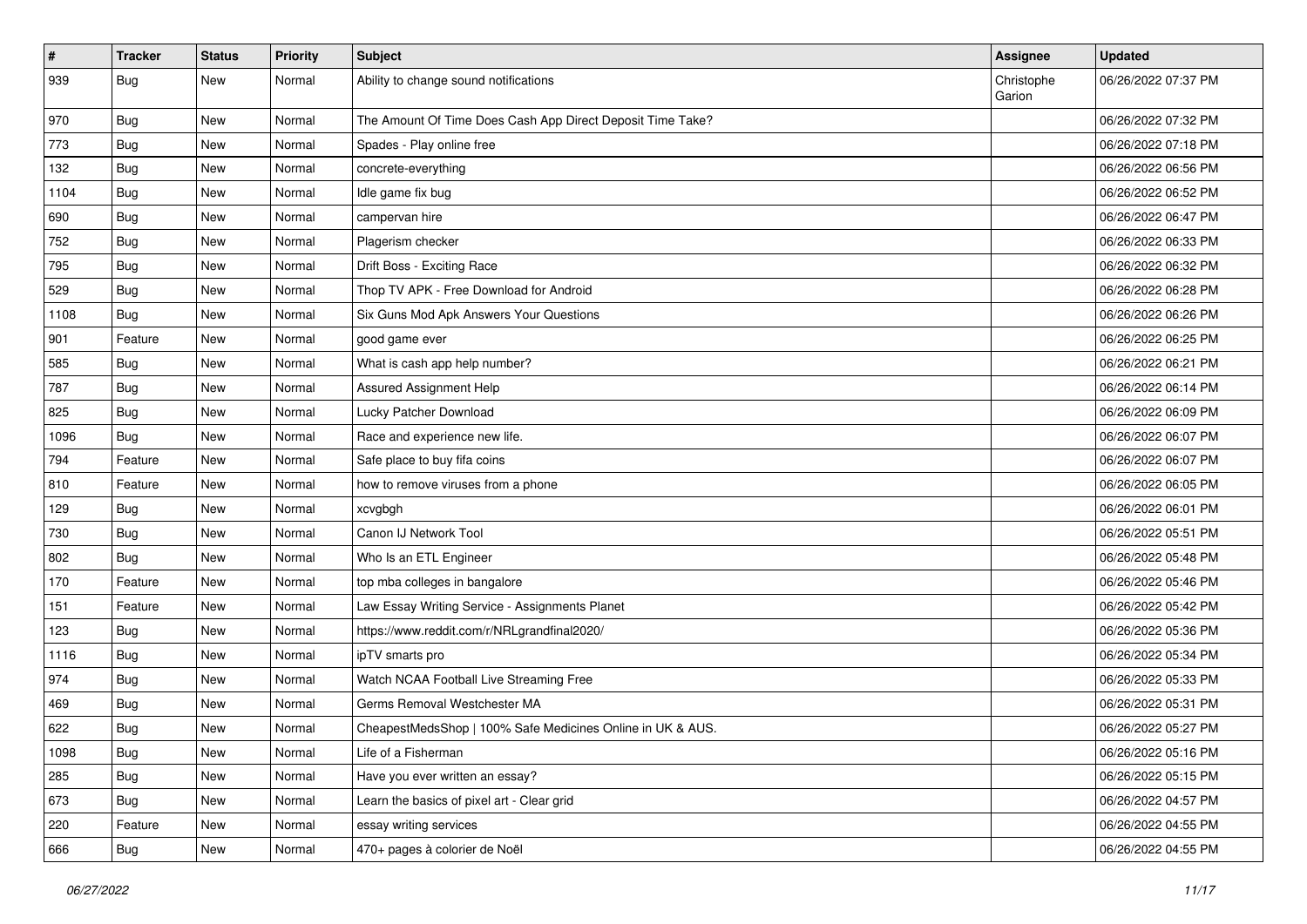| $\vert$ # | <b>Tracker</b> | <b>Status</b> | <b>Priority</b> | Subject                                                    | <b>Assignee</b>      | <b>Updated</b>      |
|-----------|----------------|---------------|-----------------|------------------------------------------------------------|----------------------|---------------------|
| 939       | Bug            | New           | Normal          | Ability to change sound notifications                      | Christophe<br>Garion | 06/26/2022 07:37 PM |
| 970       | Bug            | New           | Normal          | The Amount Of Time Does Cash App Direct Deposit Time Take? |                      | 06/26/2022 07:32 PM |
| 773       | Bug            | New           | Normal          | Spades - Play online free                                  |                      | 06/26/2022 07:18 PM |
| 132       | Bug            | New           | Normal          | concrete-everything                                        |                      | 06/26/2022 06:56 PM |
| 1104      | Bug            | New           | Normal          | Idle game fix bug                                          |                      | 06/26/2022 06:52 PM |
| 690       | Bug            | New           | Normal          | campervan hire                                             |                      | 06/26/2022 06:47 PM |
| 752       | <b>Bug</b>     | New           | Normal          | Plagerism checker                                          |                      | 06/26/2022 06:33 PM |
| 795       | <b>Bug</b>     | New           | Normal          | Drift Boss - Exciting Race                                 |                      | 06/26/2022 06:32 PM |
| 529       | Bug            | New           | Normal          | Thop TV APK - Free Download for Android                    |                      | 06/26/2022 06:28 PM |
| 1108      | Bug            | New           | Normal          | Six Guns Mod Apk Answers Your Questions                    |                      | 06/26/2022 06:26 PM |
| 901       | Feature        | New           | Normal          | good game ever                                             |                      | 06/26/2022 06:25 PM |
| 585       | Bug            | New           | Normal          | What is cash app help number?                              |                      | 06/26/2022 06:21 PM |
| 787       | <b>Bug</b>     | New           | Normal          | Assured Assignment Help                                    |                      | 06/26/2022 06:14 PM |
| 825       | Bug            | New           | Normal          | Lucky Patcher Download                                     |                      | 06/26/2022 06:09 PM |
| 1096      | Bug            | New           | Normal          | Race and experience new life.                              |                      | 06/26/2022 06:07 PM |
| 794       | Feature        | New           | Normal          | Safe place to buy fifa coins                               |                      | 06/26/2022 06:07 PM |
| 810       | Feature        | New           | Normal          | how to remove viruses from a phone                         |                      | 06/26/2022 06:05 PM |
| 129       | <b>Bug</b>     | New           | Normal          | xcvgbgh                                                    |                      | 06/26/2022 06:01 PM |
| 730       | <b>Bug</b>     | New           | Normal          | Canon IJ Network Tool                                      |                      | 06/26/2022 05:51 PM |
| 802       | Bug            | New           | Normal          | Who Is an ETL Engineer                                     |                      | 06/26/2022 05:48 PM |
| 170       | Feature        | New           | Normal          | top mba colleges in bangalore                              |                      | 06/26/2022 05:46 PM |
| 151       | Feature        | New           | Normal          | Law Essay Writing Service - Assignments Planet             |                      | 06/26/2022 05:42 PM |
| 123       | <b>Bug</b>     | New           | Normal          | https://www.reddit.com/r/NRLgrandfinal2020/                |                      | 06/26/2022 05:36 PM |
| 1116      | Bug            | New           | Normal          | ipTV smarts pro                                            |                      | 06/26/2022 05:34 PM |
| 974       | Bug            | New           | Normal          | Watch NCAA Football Live Streaming Free                    |                      | 06/26/2022 05:33 PM |
| 469       | <b>Bug</b>     | New           | Normal          | Germs Removal Westchester MA                               |                      | 06/26/2022 05:31 PM |
| 622       | <b>Bug</b>     | New           | Normal          | CheapestMedsShop   100% Safe Medicines Online in UK & AUS. |                      | 06/26/2022 05:27 PM |
| 1098      | <b>Bug</b>     | New           | Normal          | Life of a Fisherman                                        |                      | 06/26/2022 05:16 PM |
| 285       | Bug            | New           | Normal          | Have you ever written an essay?                            |                      | 06/26/2022 05:15 PM |
| 673       | <b>Bug</b>     | New           | Normal          | Learn the basics of pixel art - Clear grid                 |                      | 06/26/2022 04:57 PM |
| 220       | Feature        | New           | Normal          | essay writing services                                     |                      | 06/26/2022 04:55 PM |
| 666       | Bug            | New           | Normal          | 470+ pages à colorier de Noël                              |                      | 06/26/2022 04:55 PM |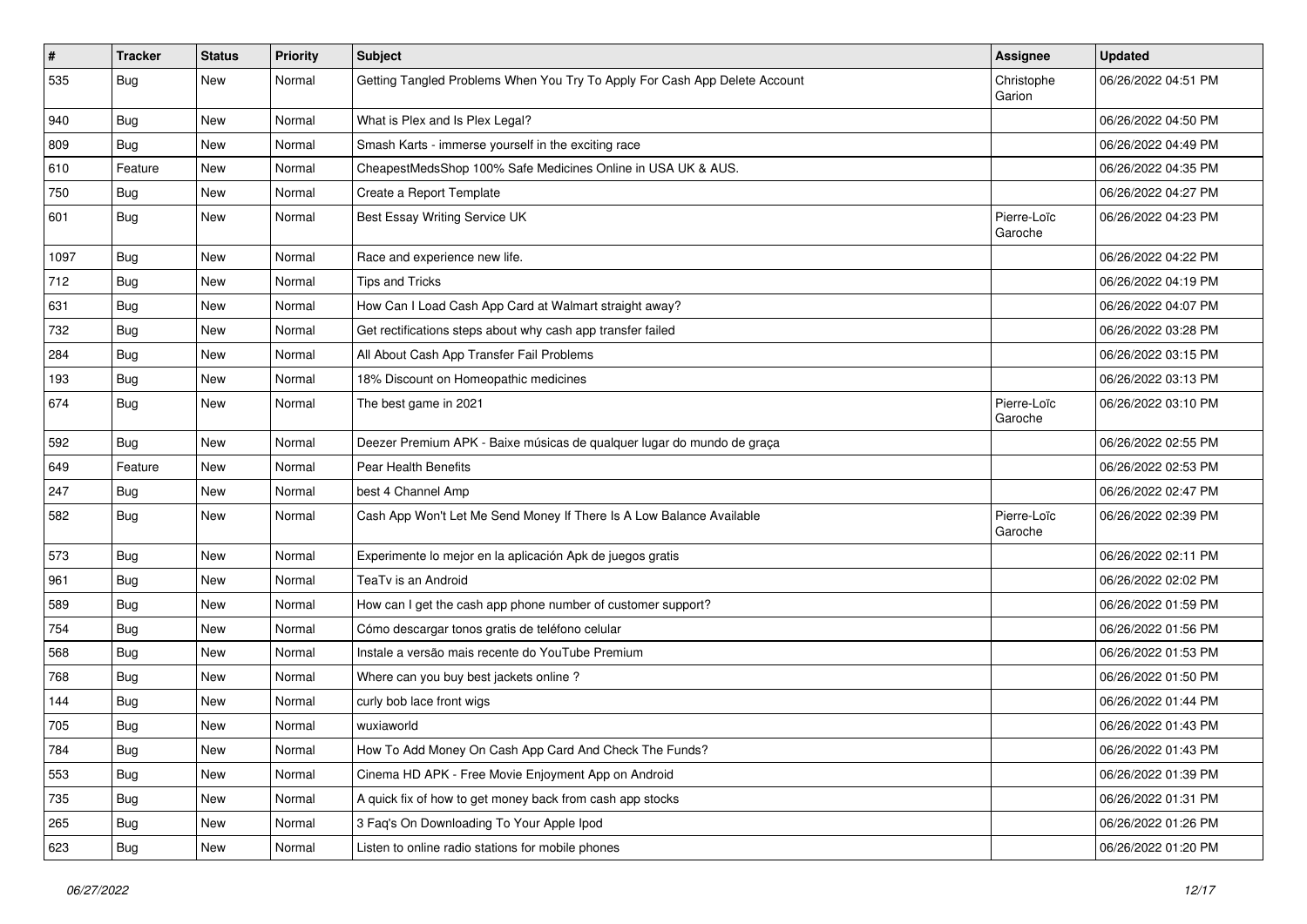| $\vert$ # | <b>Tracker</b> | <b>Status</b> | <b>Priority</b> | Subject                                                                    | <b>Assignee</b>        | <b>Updated</b>      |
|-----------|----------------|---------------|-----------------|----------------------------------------------------------------------------|------------------------|---------------------|
| 535       | <b>Bug</b>     | New           | Normal          | Getting Tangled Problems When You Try To Apply For Cash App Delete Account | Christophe<br>Garion   | 06/26/2022 04:51 PM |
| 940       | Bug            | New           | Normal          | What is Plex and Is Plex Legal?                                            |                        | 06/26/2022 04:50 PM |
| 809       | <b>Bug</b>     | New           | Normal          | Smash Karts - immerse yourself in the exciting race                        |                        | 06/26/2022 04:49 PM |
| 610       | Feature        | New           | Normal          | CheapestMedsShop 100% Safe Medicines Online in USA UK & AUS.               |                        | 06/26/2022 04:35 PM |
| 750       | Bug            | New           | Normal          | Create a Report Template                                                   |                        | 06/26/2022 04:27 PM |
| 601       | Bug            | New           | Normal          | Best Essay Writing Service UK                                              | Pierre-Loïc<br>Garoche | 06/26/2022 04:23 PM |
| 1097      | Bug            | New           | Normal          | Race and experience new life.                                              |                        | 06/26/2022 04:22 PM |
| 712       | <b>Bug</b>     | New           | Normal          | Tips and Tricks                                                            |                        | 06/26/2022 04:19 PM |
| 631       | Bug            | New           | Normal          | How Can I Load Cash App Card at Walmart straight away?                     |                        | 06/26/2022 04:07 PM |
| 732       | <b>Bug</b>     | <b>New</b>    | Normal          | Get rectifications steps about why cash app transfer failed                |                        | 06/26/2022 03:28 PM |
| 284       | Bug            | New           | Normal          | All About Cash App Transfer Fail Problems                                  |                        | 06/26/2022 03:15 PM |
| 193       | Bug            | New           | Normal          | 18% Discount on Homeopathic medicines                                      |                        | 06/26/2022 03:13 PM |
| 674       | Bug            | New           | Normal          | The best game in 2021                                                      | Pierre-Loïc<br>Garoche | 06/26/2022 03:10 PM |
| 592       | Bug            | New           | Normal          | Deezer Premium APK - Baixe músicas de qualquer lugar do mundo de graça     |                        | 06/26/2022 02:55 PM |
| 649       | Feature        | <b>New</b>    | Normal          | Pear Health Benefits                                                       |                        | 06/26/2022 02:53 PM |
| 247       | Bug            | New           | Normal          | best 4 Channel Amp                                                         |                        | 06/26/2022 02:47 PM |
| 582       | <b>Bug</b>     | New           | Normal          | Cash App Won't Let Me Send Money If There Is A Low Balance Available       | Pierre-Loïc<br>Garoche | 06/26/2022 02:39 PM |
| 573       | Bug            | New           | Normal          | Experimente lo mejor en la aplicación Apk de juegos gratis                 |                        | 06/26/2022 02:11 PM |
| 961       | Bug            | New           | Normal          | TeaTv is an Android                                                        |                        | 06/26/2022 02:02 PM |
| 589       | Bug            | New           | Normal          | How can I get the cash app phone number of customer support?               |                        | 06/26/2022 01:59 PM |
| 754       | Bug            | New           | Normal          | Cómo descargar tonos gratis de teléfono celular                            |                        | 06/26/2022 01:56 PM |
| 568       | Bug            | New           | Normal          | Instale a versão mais recente do YouTube Premium                           |                        | 06/26/2022 01:53 PM |
| 768       | Bug            | New           | Normal          | Where can you buy best jackets online?                                     |                        | 06/26/2022 01:50 PM |
| 144       | Bug            | New           | Normal          | curly bob lace front wigs                                                  |                        | 06/26/2022 01:44 PM |
| 705       | Bug            | New           | Normal          | wuxiaworld                                                                 |                        | 06/26/2022 01:43 PM |
| 784       | <b>Bug</b>     | New           | Normal          | How To Add Money On Cash App Card And Check The Funds?                     |                        | 06/26/2022 01:43 PM |
| 553       | Bug            | New           | Normal          | Cinema HD APK - Free Movie Enjoyment App on Android                        |                        | 06/26/2022 01:39 PM |
| 735       | Bug            | New           | Normal          | A quick fix of how to get money back from cash app stocks                  |                        | 06/26/2022 01:31 PM |
| 265       | <b>Bug</b>     | New           | Normal          | 3 Faq's On Downloading To Your Apple Ipod                                  |                        | 06/26/2022 01:26 PM |
| 623       | <b>Bug</b>     | New           | Normal          | Listen to online radio stations for mobile phones                          |                        | 06/26/2022 01:20 PM |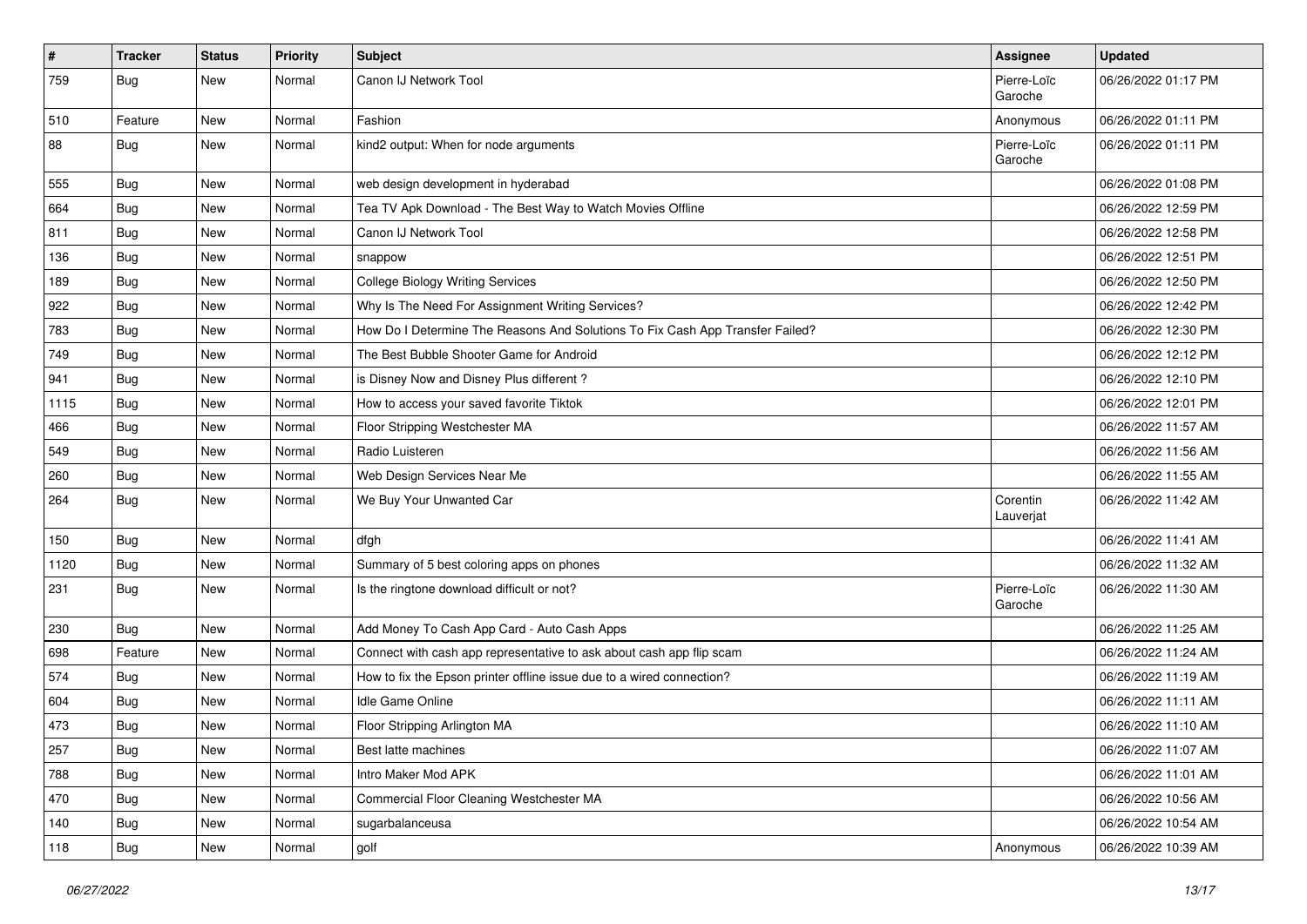| $\vert$ # | <b>Tracker</b> | <b>Status</b> | <b>Priority</b> | Subject                                                                       | Assignee               | <b>Updated</b>      |
|-----------|----------------|---------------|-----------------|-------------------------------------------------------------------------------|------------------------|---------------------|
| 759       | Bug            | New           | Normal          | Canon IJ Network Tool                                                         | Pierre-Loïc<br>Garoche | 06/26/2022 01:17 PM |
| 510       | Feature        | New           | Normal          | Fashion                                                                       | Anonymous              | 06/26/2022 01:11 PM |
| 88        | Bug            | New           | Normal          | kind2 output: When for node arguments                                         | Pierre-Loïc<br>Garoche | 06/26/2022 01:11 PM |
| 555       | Bug            | New           | Normal          | web design development in hyderabad                                           |                        | 06/26/2022 01:08 PM |
| 664       | Bug            | New           | Normal          | Tea TV Apk Download - The Best Way to Watch Movies Offline                    |                        | 06/26/2022 12:59 PM |
| 811       | Bug            | New           | Normal          | Canon IJ Network Tool                                                         |                        | 06/26/2022 12:58 PM |
| 136       | <b>Bug</b>     | New           | Normal          | snappow                                                                       |                        | 06/26/2022 12:51 PM |
| 189       | Bug            | New           | Normal          | <b>College Biology Writing Services</b>                                       |                        | 06/26/2022 12:50 PM |
| 922       | Bug            | New           | Normal          | Why Is The Need For Assignment Writing Services?                              |                        | 06/26/2022 12:42 PM |
| 783       | Bug            | New           | Normal          | How Do I Determine The Reasons And Solutions To Fix Cash App Transfer Failed? |                        | 06/26/2022 12:30 PM |
| 749       | Bug            | New           | Normal          | The Best Bubble Shooter Game for Android                                      |                        | 06/26/2022 12:12 PM |
| 941       | Bug            | New           | Normal          | is Disney Now and Disney Plus different?                                      |                        | 06/26/2022 12:10 PM |
| 1115      | Bug            | New           | Normal          | How to access your saved favorite Tiktok                                      |                        | 06/26/2022 12:01 PM |
| 466       | Bug            | New           | Normal          | Floor Stripping Westchester MA                                                |                        | 06/26/2022 11:57 AM |
| 549       | Bug            | New           | Normal          | Radio Luisteren                                                               |                        | 06/26/2022 11:56 AM |
| 260       | Bug            | New           | Normal          | Web Design Services Near Me                                                   |                        | 06/26/2022 11:55 AM |
| 264       | Bug            | New           | Normal          | We Buy Your Unwanted Car                                                      | Corentin<br>Lauverjat  | 06/26/2022 11:42 AM |
| 150       | Bug            | New           | Normal          | dfgh                                                                          |                        | 06/26/2022 11:41 AM |
| 1120      | Bug            | New           | Normal          | Summary of 5 best coloring apps on phones                                     |                        | 06/26/2022 11:32 AM |
| 231       | Bug            | New           | Normal          | Is the ringtone download difficult or not?                                    | Pierre-Loïc<br>Garoche | 06/26/2022 11:30 AM |
| 230       | Bug            | New           | Normal          | Add Money To Cash App Card - Auto Cash Apps                                   |                        | 06/26/2022 11:25 AM |
| 698       | Feature        | New           | Normal          | Connect with cash app representative to ask about cash app flip scam          |                        | 06/26/2022 11:24 AM |
| 574       | Bug            | New           | Normal          | How to fix the Epson printer offline issue due to a wired connection?         |                        | 06/26/2022 11:19 AM |
| 604       | Bug            | New           | Normal          | Idle Game Online                                                              |                        | 06/26/2022 11:11 AM |
| 473       | <b>Bug</b>     | New           | Normal          | Floor Stripping Arlington MA                                                  |                        | 06/26/2022 11:10 AM |
| 257       | <b>Bug</b>     | New           | Normal          | Best latte machines                                                           |                        | 06/26/2022 11:07 AM |
| 788       | Bug            | New           | Normal          | Intro Maker Mod APK                                                           |                        | 06/26/2022 11:01 AM |
| 470       | Bug            | New           | Normal          | Commercial Floor Cleaning Westchester MA                                      |                        | 06/26/2022 10:56 AM |
| 140       | Bug            | New           | Normal          | sugarbalanceusa                                                               |                        | 06/26/2022 10:54 AM |
| 118       | <b>Bug</b>     | New           | Normal          | golf                                                                          | Anonymous              | 06/26/2022 10:39 AM |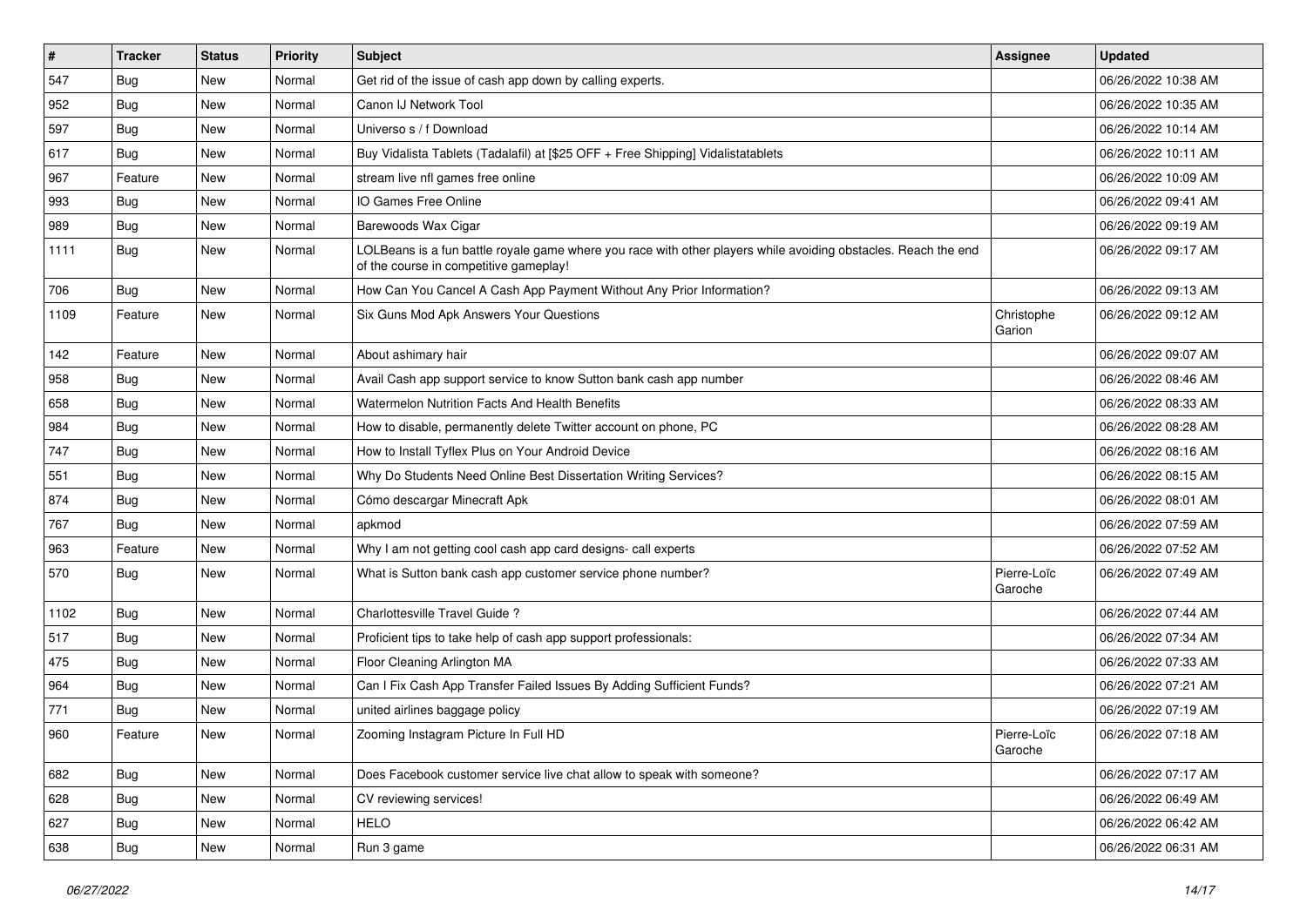| $\sharp$ | <b>Tracker</b> | <b>Status</b> | <b>Priority</b> | Subject                                                                                                                                                  | <b>Assignee</b>        | <b>Updated</b>      |
|----------|----------------|---------------|-----------------|----------------------------------------------------------------------------------------------------------------------------------------------------------|------------------------|---------------------|
| 547      | Bug            | New           | Normal          | Get rid of the issue of cash app down by calling experts.                                                                                                |                        | 06/26/2022 10:38 AM |
| 952      | <b>Bug</b>     | <b>New</b>    | Normal          | Canon IJ Network Tool                                                                                                                                    |                        | 06/26/2022 10:35 AM |
| 597      | Bug            | New           | Normal          | Universo s / f Download                                                                                                                                  |                        | 06/26/2022 10:14 AM |
| 617      | Bug            | New           | Normal          | Buy Vidalista Tablets (Tadalafil) at [\$25 OFF + Free Shipping] Vidalistatablets                                                                         |                        | 06/26/2022 10:11 AM |
| 967      | Feature        | New           | Normal          | stream live nfl games free online                                                                                                                        |                        | 06/26/2022 10:09 AM |
| 993      | Bug            | New           | Normal          | IO Games Free Online                                                                                                                                     |                        | 06/26/2022 09:41 AM |
| 989      | Bug            | <b>New</b>    | Normal          | Barewoods Wax Cigar                                                                                                                                      |                        | 06/26/2022 09:19 AM |
| 1111     | Bug            | New           | Normal          | LOLBeans is a fun battle royale game where you race with other players while avoiding obstacles. Reach the end<br>of the course in competitive gameplay! |                        | 06/26/2022 09:17 AM |
| 706      | Bug            | New           | Normal          | How Can You Cancel A Cash App Payment Without Any Prior Information?                                                                                     |                        | 06/26/2022 09:13 AM |
| 1109     | Feature        | New           | Normal          | Six Guns Mod Apk Answers Your Questions                                                                                                                  | Christophe<br>Garion   | 06/26/2022 09:12 AM |
| 142      | Feature        | New           | Normal          | About ashimary hair                                                                                                                                      |                        | 06/26/2022 09:07 AM |
| 958      | <b>Bug</b>     | New           | Normal          | Avail Cash app support service to know Sutton bank cash app number                                                                                       |                        | 06/26/2022 08:46 AM |
| 658      | <b>Bug</b>     | New           | Normal          | Watermelon Nutrition Facts And Health Benefits                                                                                                           |                        | 06/26/2022 08:33 AM |
| 984      | Bug            | New           | Normal          | How to disable, permanently delete Twitter account on phone, PC                                                                                          |                        | 06/26/2022 08:28 AM |
| 747      | <b>Bug</b>     | New           | Normal          | How to Install Tyflex Plus on Your Android Device                                                                                                        |                        | 06/26/2022 08:16 AM |
| 551      | Bug            | New           | Normal          | Why Do Students Need Online Best Dissertation Writing Services?                                                                                          |                        | 06/26/2022 08:15 AM |
| 874      | <b>Bug</b>     | New           | Normal          | Cómo descargar Minecraft Apk                                                                                                                             |                        | 06/26/2022 08:01 AM |
| 767      | Bug            | New           | Normal          | apkmod                                                                                                                                                   |                        | 06/26/2022 07:59 AM |
| 963      | Feature        | New           | Normal          | Why I am not getting cool cash app card designs- call experts                                                                                            |                        | 06/26/2022 07:52 AM |
| 570      | Bug            | New           | Normal          | What is Sutton bank cash app customer service phone number?                                                                                              | Pierre-Loïc<br>Garoche | 06/26/2022 07:49 AM |
| 1102     | <b>Bug</b>     | New           | Normal          | Charlottesville Travel Guide?                                                                                                                            |                        | 06/26/2022 07:44 AM |
| 517      | <b>Bug</b>     | New           | Normal          | Proficient tips to take help of cash app support professionals:                                                                                          |                        | 06/26/2022 07:34 AM |
| 475      | Bug            | New           | Normal          | Floor Cleaning Arlington MA                                                                                                                              |                        | 06/26/2022 07:33 AM |
| 964      | Bug            | New           | Normal          | Can I Fix Cash App Transfer Failed Issues By Adding Sufficient Funds?                                                                                    |                        | 06/26/2022 07:21 AM |
| 771      | <b>Bug</b>     | <b>New</b>    | Normal          | united airlines baggage policy                                                                                                                           |                        | 06/26/2022 07:19 AM |
| 960      | Feature        | New           | Normal          | Zooming Instagram Picture In Full HD                                                                                                                     | Pierre-Loïc<br>Garoche | 06/26/2022 07:18 AM |
| 682      | Bug            | New           | Normal          | Does Facebook customer service live chat allow to speak with someone?                                                                                    |                        | 06/26/2022 07:17 AM |
| 628      | Bug            | New           | Normal          | CV reviewing services!                                                                                                                                   |                        | 06/26/2022 06:49 AM |
| 627      | <b>Bug</b>     | New           | Normal          | <b>HELO</b>                                                                                                                                              |                        | 06/26/2022 06:42 AM |
| 638      | <b>Bug</b>     | New           | Normal          | Run 3 game                                                                                                                                               |                        | 06/26/2022 06:31 AM |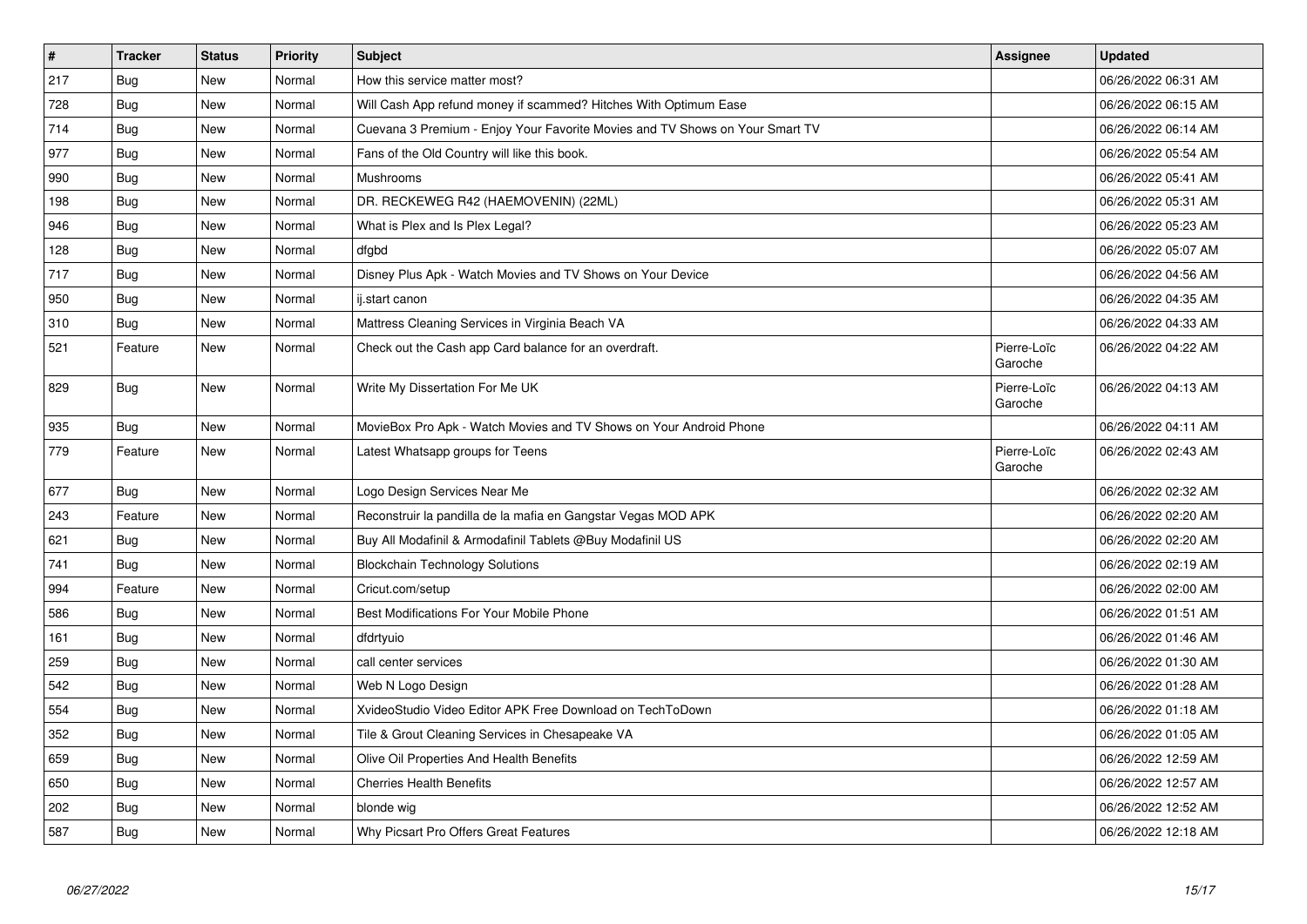| $\vert$ # | <b>Tracker</b> | <b>Status</b> | <b>Priority</b> | <b>Subject</b>                                                               | <b>Assignee</b>        | <b>Updated</b>      |
|-----------|----------------|---------------|-----------------|------------------------------------------------------------------------------|------------------------|---------------------|
| 217       | Bug            | New           | Normal          | How this service matter most?                                                |                        | 06/26/2022 06:31 AM |
| 728       | Bug            | New           | Normal          | Will Cash App refund money if scammed? Hitches With Optimum Ease             |                        | 06/26/2022 06:15 AM |
| 714       | Bug            | New           | Normal          | Cuevana 3 Premium - Enjoy Your Favorite Movies and TV Shows on Your Smart TV |                        | 06/26/2022 06:14 AM |
| 977       | Bug            | New           | Normal          | Fans of the Old Country will like this book.                                 |                        | 06/26/2022 05:54 AM |
| 990       | Bug            | New           | Normal          | Mushrooms                                                                    |                        | 06/26/2022 05:41 AM |
| 198       | Bug            | New           | Normal          | DR. RECKEWEG R42 (HAEMOVENIN) (22ML)                                         |                        | 06/26/2022 05:31 AM |
| 946       | <b>Bug</b>     | New           | Normal          | What is Plex and Is Plex Legal?                                              |                        | 06/26/2022 05:23 AM |
| 128       | <b>Bug</b>     | New           | Normal          | dfgbd                                                                        |                        | 06/26/2022 05:07 AM |
| 717       | <b>Bug</b>     | New           | Normal          | Disney Plus Apk - Watch Movies and TV Shows on Your Device                   |                        | 06/26/2022 04:56 AM |
| 950       | Bug            | New           | Normal          | ij.start canon                                                               |                        | 06/26/2022 04:35 AM |
| 310       | <b>Bug</b>     | New           | Normal          | Mattress Cleaning Services in Virginia Beach VA                              |                        | 06/26/2022 04:33 AM |
| 521       | Feature        | <b>New</b>    | Normal          | Check out the Cash app Card balance for an overdraft.                        | Pierre-Loïc<br>Garoche | 06/26/2022 04:22 AM |
| 829       | <b>Bug</b>     | New           | Normal          | Write My Dissertation For Me UK                                              | Pierre-Loïc<br>Garoche | 06/26/2022 04:13 AM |
| 935       | Bug            | New           | Normal          | MovieBox Pro Apk - Watch Movies and TV Shows on Your Android Phone           |                        | 06/26/2022 04:11 AM |
| 779       | Feature        | New           | Normal          | Latest Whatsapp groups for Teens                                             | Pierre-Loïc<br>Garoche | 06/26/2022 02:43 AM |
| 677       | <b>Bug</b>     | <b>New</b>    | Normal          | Logo Design Services Near Me                                                 |                        | 06/26/2022 02:32 AM |
| 243       | Feature        | New           | Normal          | Reconstruir la pandilla de la mafia en Gangstar Vegas MOD APK                |                        | 06/26/2022 02:20 AM |
| 621       | Bug            | New           | Normal          | Buy All Modafinil & Armodafinil Tablets @Buy Modafinil US                    |                        | 06/26/2022 02:20 AM |
| 741       | Bug            | New           | Normal          | <b>Blockchain Technology Solutions</b>                                       |                        | 06/26/2022 02:19 AM |
| 994       | Feature        | New           | Normal          | Cricut.com/setup                                                             |                        | 06/26/2022 02:00 AM |
| 586       | Bug            | New           | Normal          | Best Modifications For Your Mobile Phone                                     |                        | 06/26/2022 01:51 AM |
| 161       | <b>Bug</b>     | New           | Normal          | dfdrtyuio                                                                    |                        | 06/26/2022 01:46 AM |
| 259       | <b>Bug</b>     | New           | Normal          | call center services                                                         |                        | 06/26/2022 01:30 AM |
| 542       | Bug            | New           | Normal          | Web N Logo Design                                                            |                        | 06/26/2022 01:28 AM |
| 554       | <b>Bug</b>     | New           | Normal          | XvideoStudio Video Editor APK Free Download on TechToDown                    |                        | 06/26/2022 01:18 AM |
| 352       | <b>Bug</b>     | <b>New</b>    | Normal          | Tile & Grout Cleaning Services in Chesapeake VA                              |                        | 06/26/2022 01:05 AM |
| 659       | Bug            | New           | Normal          | Olive Oil Properties And Health Benefits                                     |                        | 06/26/2022 12:59 AM |
| 650       | <b>Bug</b>     | <b>New</b>    | Normal          | <b>Cherries Health Benefits</b>                                              |                        | 06/26/2022 12:57 AM |
| 202       | Bug            | New           | Normal          | blonde wig                                                                   |                        | 06/26/2022 12:52 AM |
| 587       | <b>Bug</b>     | <b>New</b>    | Normal          | Why Picsart Pro Offers Great Features                                        |                        | 06/26/2022 12:18 AM |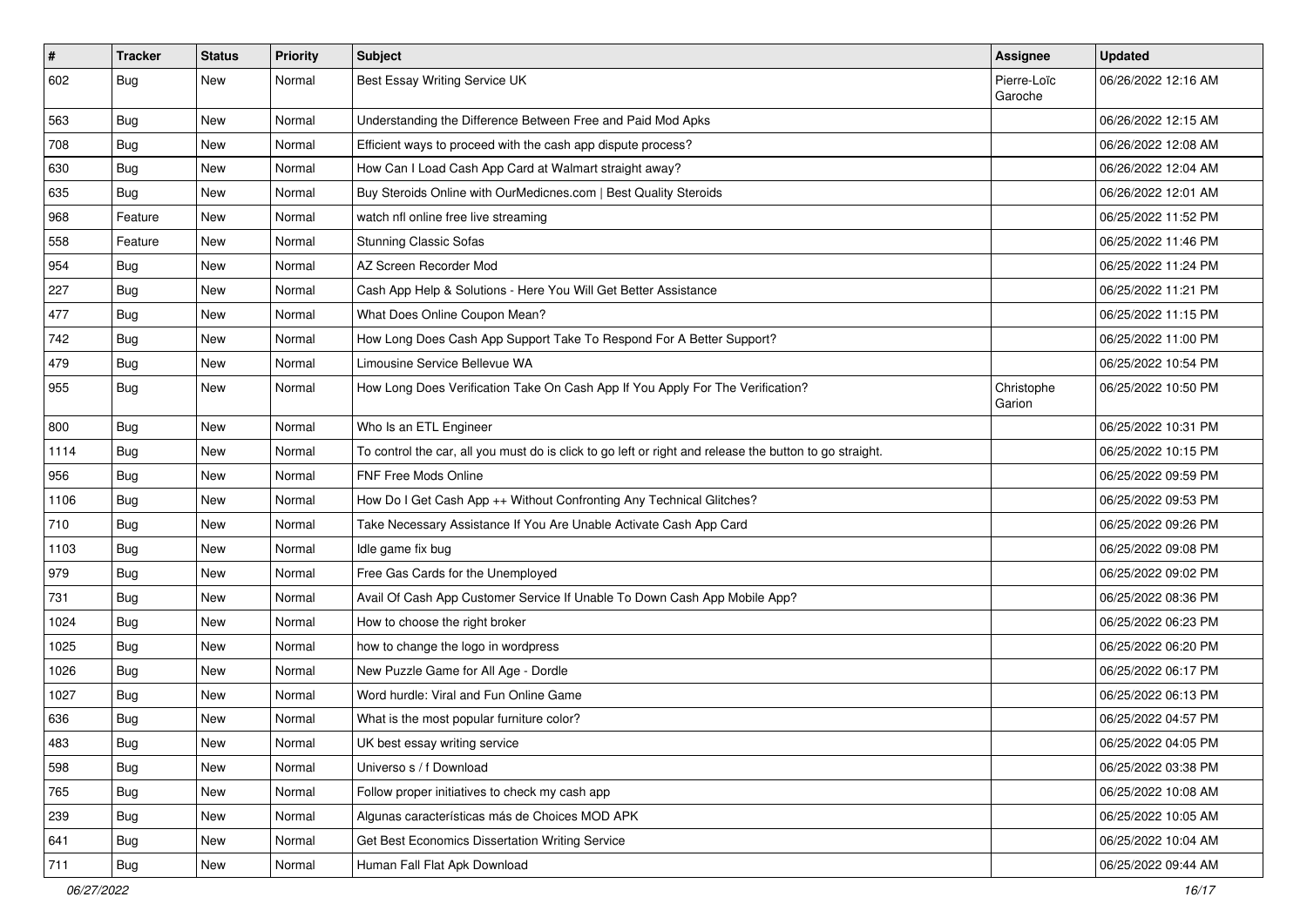| $\vert$ # | <b>Tracker</b> | <b>Status</b> | Priority | Subject                                                                                                 | <b>Assignee</b>        | <b>Updated</b>      |
|-----------|----------------|---------------|----------|---------------------------------------------------------------------------------------------------------|------------------------|---------------------|
| 602       | <b>Bug</b>     | New           | Normal   | Best Essay Writing Service UK                                                                           | Pierre-Loïc<br>Garoche | 06/26/2022 12:16 AM |
| 563       | <b>Bug</b>     | New           | Normal   | Understanding the Difference Between Free and Paid Mod Apks                                             |                        | 06/26/2022 12:15 AM |
| 708       | <b>Bug</b>     | New           | Normal   | Efficient ways to proceed with the cash app dispute process?                                            |                        | 06/26/2022 12:08 AM |
| 630       | Bug            | New           | Normal   | How Can I Load Cash App Card at Walmart straight away?                                                  |                        | 06/26/2022 12:04 AM |
| 635       | <b>Bug</b>     | New           | Normal   | Buy Steroids Online with OurMedicnes.com   Best Quality Steroids                                        |                        | 06/26/2022 12:01 AM |
| 968       | Feature        | New           | Normal   | watch nfl online free live streaming                                                                    |                        | 06/25/2022 11:52 PM |
| 558       | Feature        | New           | Normal   | <b>Stunning Classic Sofas</b>                                                                           |                        | 06/25/2022 11:46 PM |
| 954       | <b>Bug</b>     | New           | Normal   | AZ Screen Recorder Mod                                                                                  |                        | 06/25/2022 11:24 PM |
| 227       | <b>Bug</b>     | New           | Normal   | Cash App Help & Solutions - Here You Will Get Better Assistance                                         |                        | 06/25/2022 11:21 PM |
| 477       | <b>Bug</b>     | New           | Normal   | What Does Online Coupon Mean?                                                                           |                        | 06/25/2022 11:15 PM |
| 742       | <b>Bug</b>     | New           | Normal   | How Long Does Cash App Support Take To Respond For A Better Support?                                    |                        | 06/25/2022 11:00 PM |
| 479       | Bug            | New           | Normal   | Limousine Service Bellevue WA                                                                           |                        | 06/25/2022 10:54 PM |
| 955       | <b>Bug</b>     | New           | Normal   | How Long Does Verification Take On Cash App If You Apply For The Verification?                          | Christophe<br>Garion   | 06/25/2022 10:50 PM |
| 800       | Bug            | New           | Normal   | Who Is an ETL Engineer                                                                                  |                        | 06/25/2022 10:31 PM |
| 1114      | Bug            | New           | Normal   | To control the car, all you must do is click to go left or right and release the button to go straight. |                        | 06/25/2022 10:15 PM |
| 956       | Bug            | New           | Normal   | FNF Free Mods Online                                                                                    |                        | 06/25/2022 09:59 PM |
| 1106      | <b>Bug</b>     | New           | Normal   | How Do I Get Cash App ++ Without Confronting Any Technical Glitches?                                    |                        | 06/25/2022 09:53 PM |
| 710       | Bug            | New           | Normal   | Take Necessary Assistance If You Are Unable Activate Cash App Card                                      |                        | 06/25/2022 09:26 PM |
| 1103      | <b>Bug</b>     | New           | Normal   | Idle game fix bug                                                                                       |                        | 06/25/2022 09:08 PM |
| 979       | <b>Bug</b>     | New           | Normal   | Free Gas Cards for the Unemployed                                                                       |                        | 06/25/2022 09:02 PM |
| 731       | Bug            | New           | Normal   | Avail Of Cash App Customer Service If Unable To Down Cash App Mobile App?                               |                        | 06/25/2022 08:36 PM |
| 1024      | <b>Bug</b>     | New           | Normal   | How to choose the right broker                                                                          |                        | 06/25/2022 06:23 PM |
| 1025      | <b>Bug</b>     | New           | Normal   | how to change the logo in wordpress                                                                     |                        | 06/25/2022 06:20 PM |
| 1026      | Bug            | New           | Normal   | New Puzzle Game for All Age - Dordle                                                                    |                        | 06/25/2022 06:17 PM |
| 1027      | <b>Bug</b>     | New           | Normal   | Word hurdle: Viral and Fun Online Game                                                                  |                        | 06/25/2022 06:13 PM |
| 636       | <b>Bug</b>     | New           | Normal   | What is the most popular furniture color?                                                               |                        | 06/25/2022 04:57 PM |
| 483       | Bug            | New           | Normal   | UK best essay writing service                                                                           |                        | 06/25/2022 04:05 PM |
| 598       | Bug            | New           | Normal   | Universo s / f Download                                                                                 |                        | 06/25/2022 03:38 PM |
| 765       | Bug            | New           | Normal   | Follow proper initiatives to check my cash app                                                          |                        | 06/25/2022 10:08 AM |
| 239       | <b>Bug</b>     | New           | Normal   | Algunas características más de Choices MOD APK                                                          |                        | 06/25/2022 10:05 AM |
| 641       | <b>Bug</b>     | New           | Normal   | Get Best Economics Dissertation Writing Service                                                         |                        | 06/25/2022 10:04 AM |
| 711       | <b>Bug</b>     | New           | Normal   | Human Fall Flat Apk Download                                                                            |                        | 06/25/2022 09:44 AM |